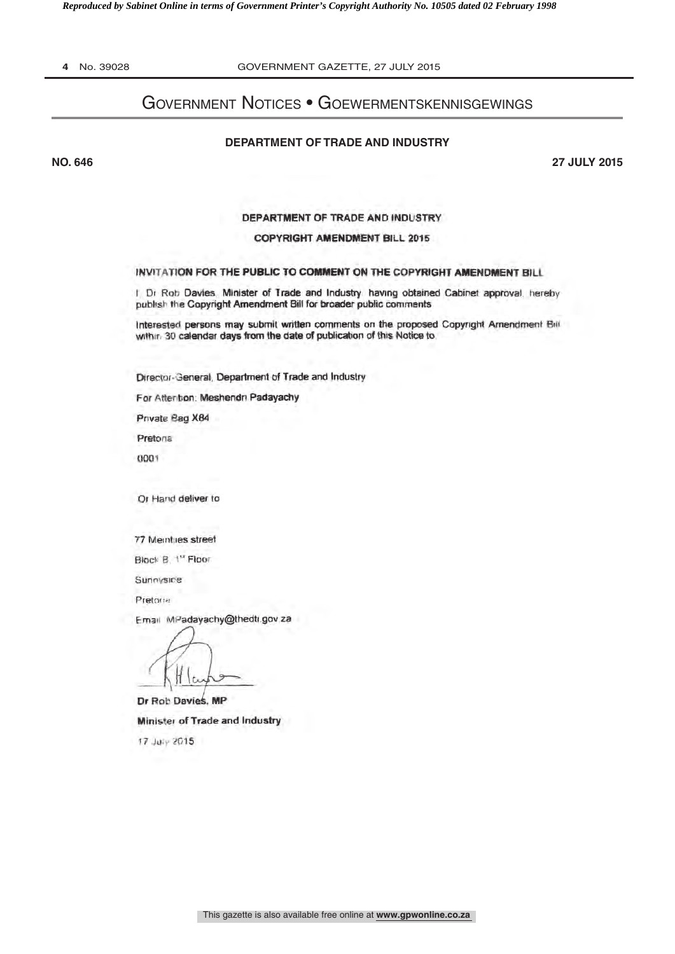*Reproduced by Sabinet Online in terms of Government Printer's Copyright Authority No. 10505 dated 02 February 1998* 

**4** No. 39028 GOVERNMENT GAZETTE, 27 JULY 2015

# Government Notices • Goewermentskennisgewings

#### **DEPARTMENT OF TRADE AND INDUSTRY**

**NO. 646 27 JULY 2015**

DEPARTMENT OF TRADE AND INDUSTRY

#### COPYRIGHT AMENDMENT BILL 2DI5

#### INVITATION FOR THE PUBLIC TO COMMENT ON THE COPYRIGHT AMENDMENT BILI

I. Dr Rob Davies, Minister of Trade and Industry having obtained Cabinet approval, hereby publish the Copyright Amendment Bill for broader public comments

Interested persons may submit written comments on the proposed Copyright Amendment Bill within 30 calendar days from the date of publication of this Notice to

Director 3eneral, Department of Trade and Industry

For After bon. Meshendn Padayachy

Private Bag X84

Pretoria

0001

Or Hand deliver to

77 Meintues street

Block B. <sup>1st</sup> Floor

Sunnvsice

Pretoria

Email MPadayachy@theati gov za

١ŕ.

Dr Rob Davies, MP Minister of Trade and Industry 17 July 2015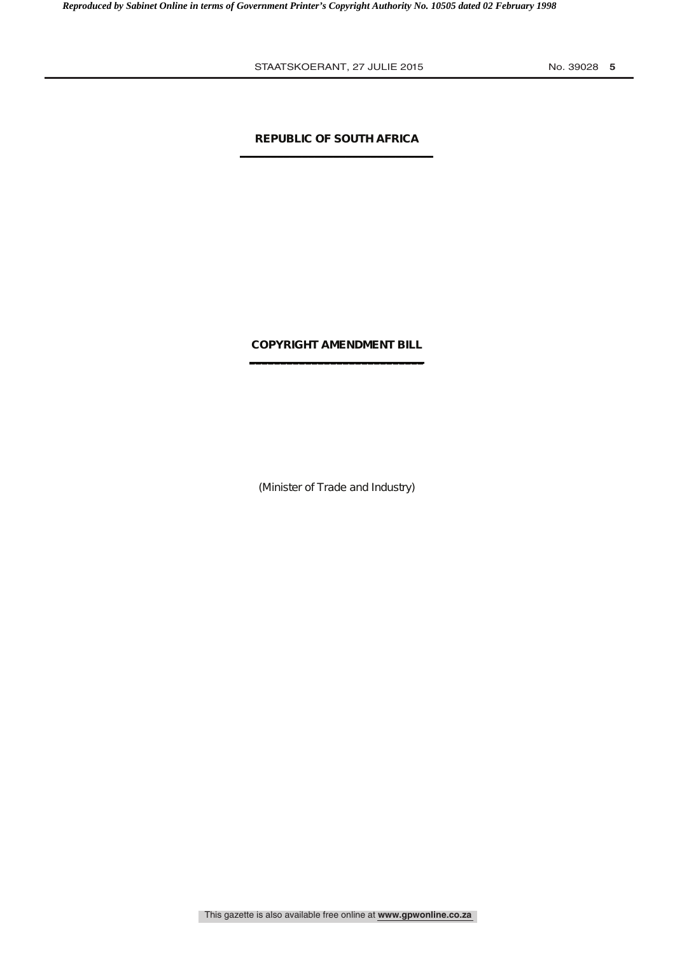# **REPUBLIC OF SOUTH AFRICA \_\_\_\_\_\_\_\_\_\_\_\_\_\_\_\_\_\_\_\_\_\_\_\_\_\_\_\_\_\_\_**

# **COPYRIGHT AMENDMENT BILL \_\_\_\_\_\_\_\_\_\_\_\_\_\_\_\_\_\_\_\_\_\_\_\_\_\_\_\_**

(Minister of Trade and Industry)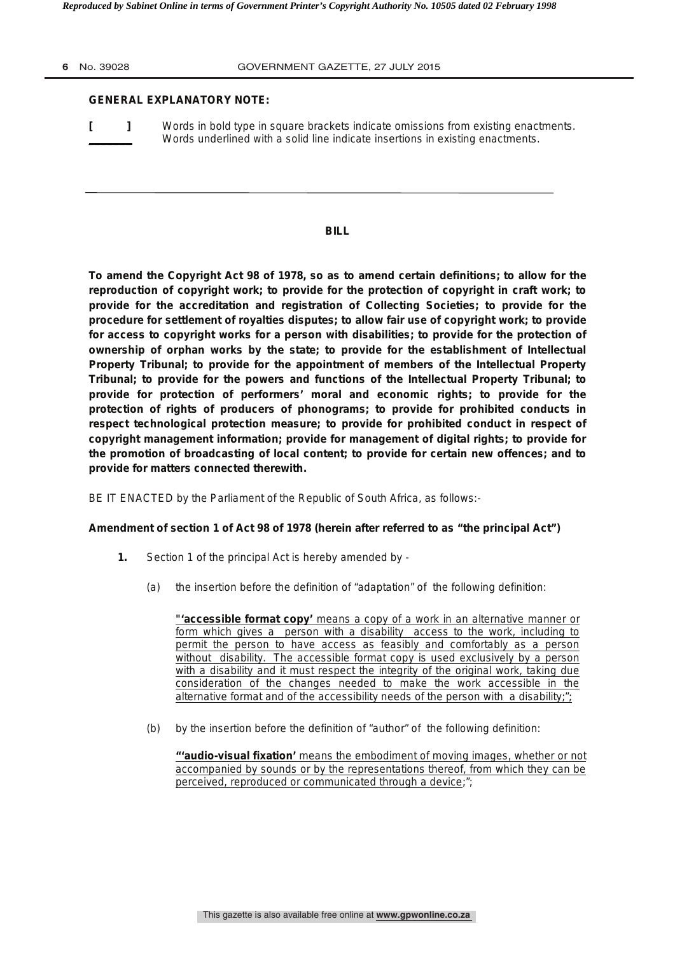#### **6** No. 39028 GOVERNMENT GAZETTE, 27 JULY 2015

#### **GENERAL EXPLANATORY NOTE:**

**[ ]** Words in bold type in square brackets indicate omissions from existing enactments. Words underlined with a solid line indicate insertions in existing enactments.

#### **BILL**

**To amend the Copyright Act 98 of 1978, so as to amend certain definitions; to allow for the reproduction of copyright work; to provide for the protection of copyright in craft work; to provide for the accreditation and registration of Collecting Societies; to provide for the procedure for settlement of royalties disputes; to allow fair use of copyright work; to provide for access to copyright works for a person with disabilities; to provide for the protection of ownership of orphan works by the state; to provide for the establishment of Intellectual Property Tribunal; to provide for the appointment of members of the Intellectual Property Tribunal; to provide for the powers and functions of the Intellectual Property Tribunal; to provide for protection of performers' moral and economic rights; to provide for the protection of rights of producers of phonograms; to provide for prohibited conducts in respect technological protection measure; to provide for prohibited conduct in respect of copyright management information; provide for management of digital rights; to provide for the promotion of broadcasting of local content; to provide for certain new offences; and to provide for matters connected therewith.**

BE IT ENACTED by the Parliament of the Republic of South Africa, as follows:-

# **Amendment of section 1 of Act 98 of 1978 (herein after referred to as "the principal Act")**

- **1.** Section 1 of the principal Act is hereby amended by
	- (a) the insertion before the definition of "adaptation" of the following definition:

**"'accessible format copy'** means a copy of a work in an alternative manner or form which gives a person with a disability access to the work, including to permit the person to have access as feasibly and comfortably as a person without disability. The accessible format copy is used exclusively by a person with a disability and it must respect the integrity of the original work, taking due consideration of the changes needed to make the work accessible in the alternative format and of the accessibility needs of the person with a disability;";

(b) by the insertion before the definition of "author" of the following definition:

**"'audio-visual fixation'** means the embodiment of moving images, whether or not accompanied by sounds or by the representations thereof, from which they can be perceived, reproduced or communicated through a device;";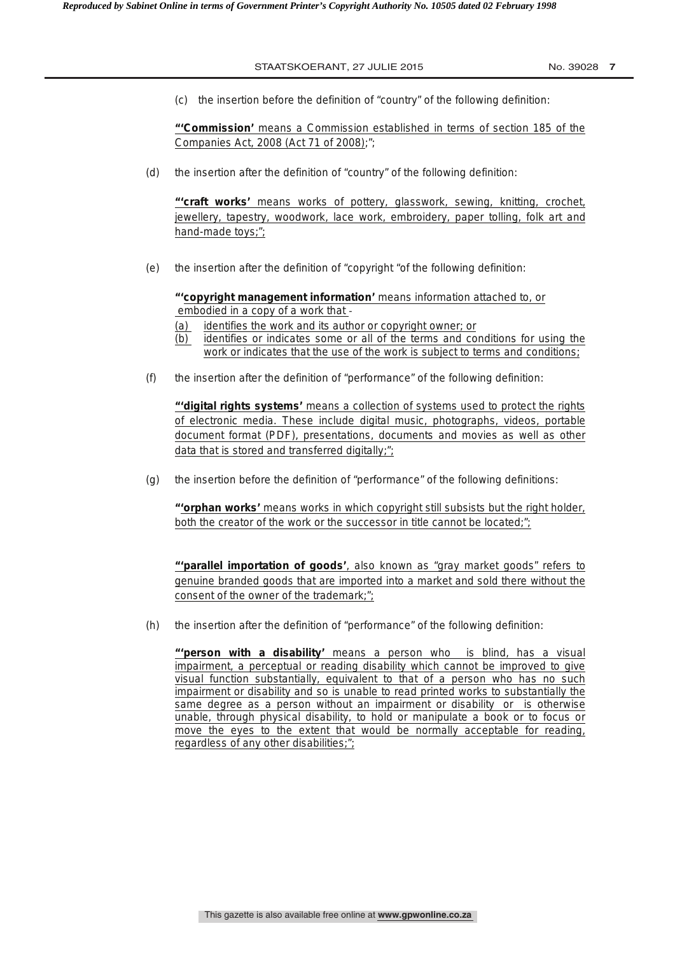(c) the insertion before the definition of "country" of the following definition:

**"'Commission'** means a Commission established in terms of section 185 of the Companies Act, 2008 (Act 71 of 2008);";

(d) the insertion after the definition of "country" of the following definition:

**"'craft works'** means works of pottery, glasswork, sewing, knitting, crochet, jewellery, tapestry, woodwork, lace work, embroidery, paper tolling, folk art and hand-made toys;";

(e) the insertion after the definition of "copyright "of the following definition:

**"'copyright management information'** means information attached to, or embodied in a copy of a work that -‐ 

- (a) identifies the work and its author or copyright owner; or
- (b) identifies or indicates some or all of the terms and conditions for using the work or indicates that the use of the work is subject to terms and conditions;
- (f) the insertion after the definition of "performance" of the following definition:

**"'digital rights systems'** means a collection of systems used to protect the rights of electronic media. These include digital music, photographs, videos, portable document format (PDF), presentations, documents and movies as well as other data that is stored and transferred digitally;";

(g) the insertion before the definition of "performance" of the following definitions:

 **"'orphan works'** means works in which copyright still subsists but the right holder, both the creator of the work or the successor in title cannot be located;";

**"'parallel importation of goods'**, also known as "gray market goods" refers to genuine branded goods that are imported into a market and sold there without the consent of the owner of the trademark;";

(h) the insertion after the definition of "performance" of the following definition:

**"'person with a disability'** means a person who is blind, has a visual impairment, a perceptual or reading disability which cannot be improved to give visual function substantially, equivalent to that of a person who has no such impairment or disability and so is unable to read printed works to substantially the same degree as a person without an impairment or disability or is otherwise unable, through physical disability, to hold or manipulate a book or to focus or move the eyes to the extent that would be normally acceptable for reading, regardless of any other disabilities;";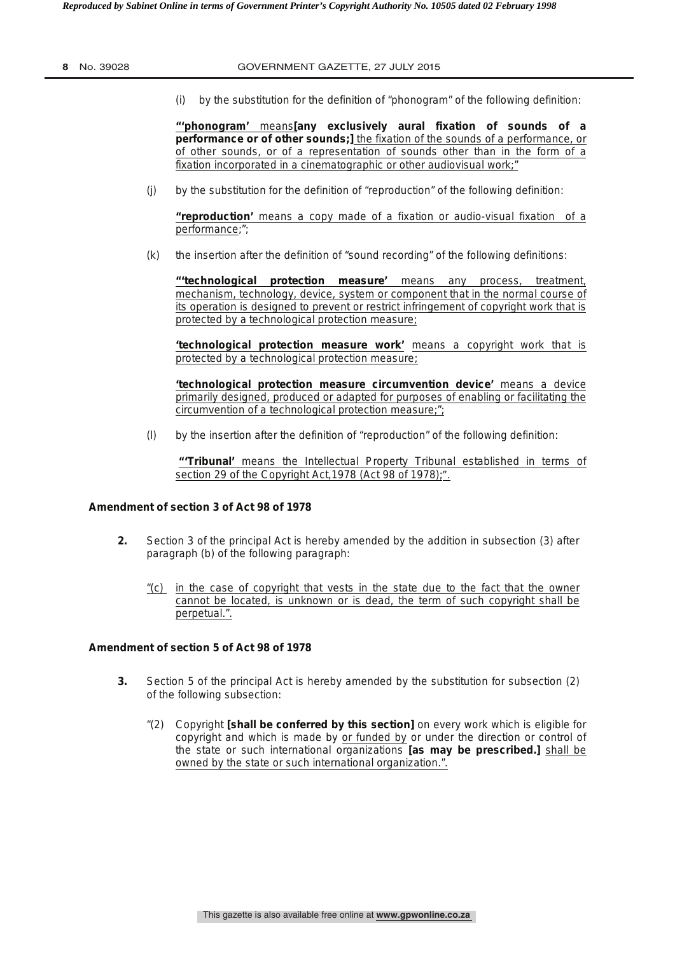(i) by the substitution for the definition of "phonogram" of the following definition:

**"'phonogram'** means**[any exclusively aural fixation of sounds of a performance or of other sounds;]** the fixation of the sounds of a performance, or of other sounds, or of a representation of sounds other than in the form of a fixation incorporated in a cinematographic or other audiovisual work;"

(j) by the substitution for the definition of "reproduction" of the following definition:

**"reproduction'** means a copy made of a fixation or audio-visual fixation of a performance;";

(k) the insertion after the definition of "sound recording" of the following definitions:

**"'technological protection measure'** means any process, treatment, mechanism, technology, device, system or component that in the normal course of its operation is designed to prevent or restrict infringement of copyright work that is protected by a technological protection measure;

**'technological protection measure work'** means a copyright work that is protected by a technological protection measure;

**'technological protection measure circumvention device'** means a device primarily designed, produced or adapted for purposes of enabling or facilitating the circumvention of a technological protection measure;";

(l) by the insertion after the definition of "reproduction" of the following definition:

**"'Tribunal'** means the Intellectual Property Tribunal established in terms of section 29 of the Copyright Act,1978 (Act 98 of 1978);".

## **Amendment of section 3 of Act 98 of 1978**

- **2.** Section 3 of the principal Act is hereby amended by the addition in subsection (3) after paragraph (b) of the following paragraph:
	- "(c) in the case of copyright that vests in the state due to the fact that the owner cannot be located, is unknown or is dead, the term of such copyright shall be perpetual.".

#### **Amendment of section 5 of Act 98 of 1978**

- **3.** Section 5 of the principal Act is hereby amended by the substitution for subsection (2) of the following subsection:
	- "(2) Copyright **[shall be conferred by this section]** on every work which is eligible for copyright and which is made by or funded by or under the direction or control of the state or such international organizations **[as may be prescribed.]** shall be owned by the state or such international organization.".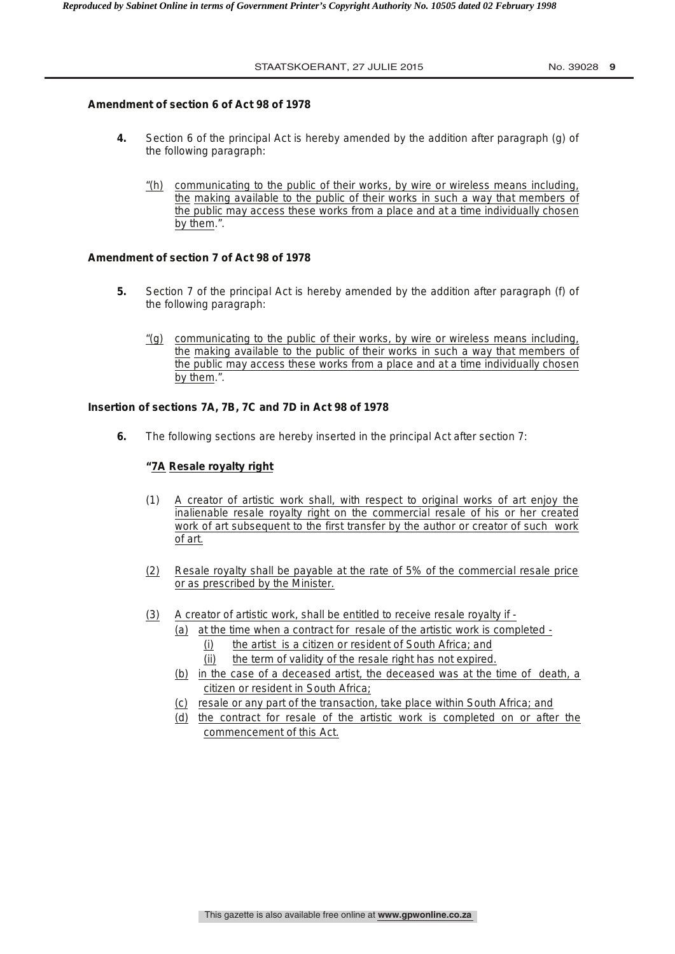## **Amendment of section 6 of Act 98 of 1978**

- **4.** Section 6 of the principal Act is hereby amended by the addition after paragraph (g) of the following paragraph:
	- "(h) communicating to the public of their works, by wire or wireless means including, the making available to the public of their works in such a way that members of the public may access these works from a place and at a time individually chosen by them.".

## **Amendment of section 7 of Act 98 of 1978**

- **5.** Section 7 of the principal Act is hereby amended by the addition after paragraph (f) of the following paragraph:
	- "(g) communicating to the public of their works, by wire or wireless means including, the making available to the public of their works in such a way that members of the public may access these works from a place and at a time individually chosen by them.".

## **Insertion of sections 7A, 7B, 7C and 7D in Act 98 of 1978**

**6.** The following sections are hereby inserted in the principal Act after section 7:

#### **"7A Resale royalty right**

- (1) A creator of artistic work shall, with respect to original works of art enjoy the inalienable resale royalty right on the commercial resale of his or her created work of art subsequent to the first transfer by the author or creator of such work of art.
- (2) Resale royalty shall be payable at the rate of 5% of the commercial resale price or as prescribed by the Minister.
- (3) A creator of artistic work, shall be entitled to receive resale royalty if
	- (a) at the time when a contract for resale of the artistic work is completed (i) the artist is a citizen or resident of South Africa; and
		- (ii) the term of validity of the resale right has not expired.
	- (b) in the case of a deceased artist, the deceased was at the time of death, a citizen or resident in South Africa;
	- (c) resale or any part of the transaction, take place within South Africa; and
	- (d) the contract for resale of the artistic work is completed on or after the commencement of this Act.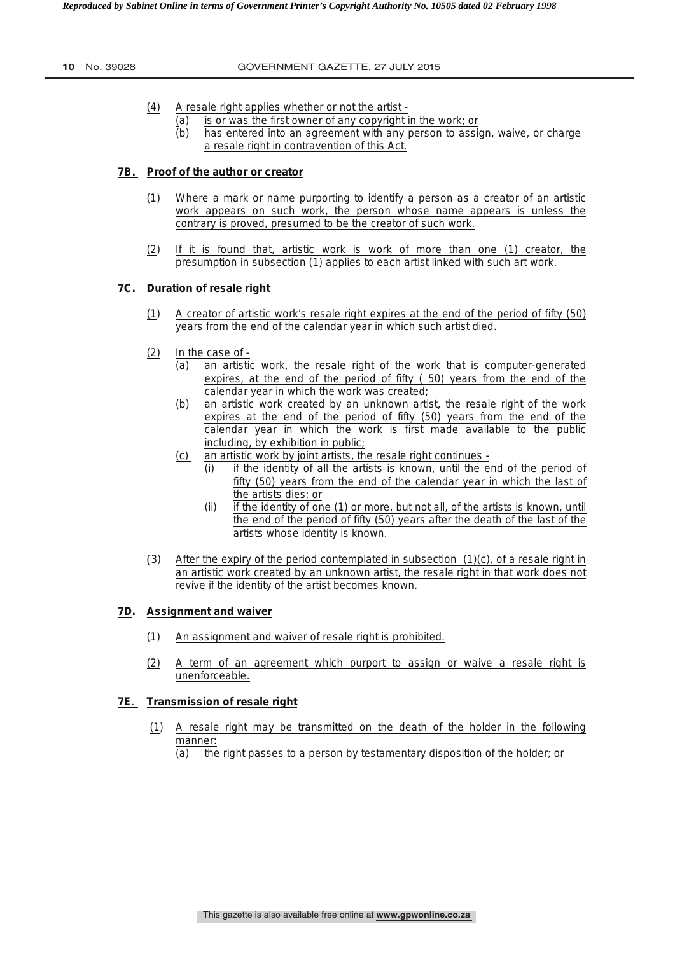- (4) A resale right applies whether or not the artist
	- (a) is or was the first owner of any copyright in the work; or
	- (b) has entered into an agreement with any person to assign, waive, or charge a resale right in contravention of this Act.

# **7B. Proof of the author or creator**

- (1) Where a mark or name purporting to identify a person as a creator of an artistic work appears on such work, the person whose name appears is unless the contrary is proved, presumed to be the creator of such work.
- (2) If it is found that, artistic work is work of more than one (1) creator, the presumption in subsection (1) applies to each artist linked with such art work.

## **7C. Duration of resale right**

- (1) A creator of artistic work's resale right expires at the end of the period of fifty (50) years from the end of the calendar year in which such artist died.
- (2) In the case of
	- (a) an artistic work, the resale right of the work that is computer-generated expires, at the end of the period of fifty ( 50) years from the end of the calendar year in which the work was created;
	- (b) an artistic work created by an unknown artist, the resale right of the work expires at the end of the period of fifty (50) years from the end of the calendar year in which the work is first made available to the public including, by exhibition in public;
	- (c) an artistic work by joint artists, the resale right continues
		- (i) if the identity of all the artists is known, until the end of the period of fifty (50) years from the end of the calendar year in which the last of the artists dies; or
		- (ii) if the identity of one (1) or more, but not all, of the artists is known, until the end of the period of fifty (50) years after the death of the last of the artists whose identity is known.
- (3) After the expiry of the period contemplated in subsection  $(1)(c)$ , of a resale right in an artistic work created by an unknown artist, the resale right in that work does not revive if the identity of the artist becomes known.

# **7D. Assignment and waiver**

- (1) An assignment and waiver of resale right is prohibited.
- (2) A term of an agreement which purport to assign or waive a resale right is unenforceable.

#### **7E**. **Transmission of resale right**

- (1) A resale right may be transmitted on the death of the holder in the following manner:
	- (a) the right passes to a person by testamentary disposition of the holder; or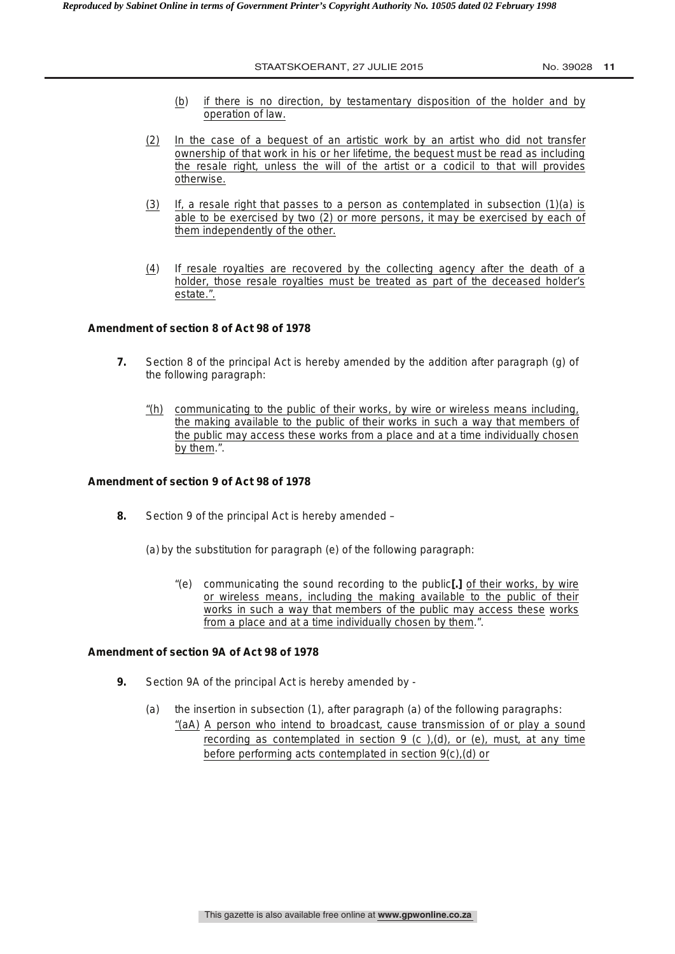- (b) if there is no direction, by testamentary disposition of the holder and by operation of law.
- (2) In the case of a bequest of an artistic work by an artist who did not transfer ownership of that work in his or her lifetime, the bequest must be read as including the resale right, unless the will of the artist or a codicil to that will provides otherwise.
- (3) If, a resale right that passes to a person as contemplated in subsection (1)(a) is able to be exercised by two (2) or more persons, it may be exercised by each of them independently of the other.
- (4) If resale royalties are recovered by the collecting agency after the death of a holder, those resale royalties must be treated as part of the deceased holder's estate.".

# **Amendment of section 8 of Act 98 of 1978**

- **7.** Section 8 of the principal Act is hereby amended by the addition after paragraph (g) of the following paragraph:
	- "(h) communicating to the public of their works, by wire or wireless means including, the making available to the public of their works in such a way that members of the public may access these works from a place and at a time individually chosen by them.".

## **Amendment of section 9 of Act 98 of 1978**

- **8.** Section 9 of the principal Act is hereby amended
	- (a) by the substitution for paragraph (e) of the following paragraph:
		- "(e) communicating the sound recording to the public**[.]** of their works, by wire or wireless means, including the making available to the public of their works in such a way that members of the public may access these works from a place and at a time individually chosen by them.".

## **Amendment of section 9A of Act 98 of 1978**

- **9.** Section 9A of the principal Act is hereby amended by
	- (a) the insertion in subsection (1), after paragraph (a) of the following paragraphs: "(aA) A person who intend to broadcast, cause transmission of or play a sound recording as contemplated in section  $9$  (c ),(d), or (e), must, at any time before performing acts contemplated in section 9(c),(d) or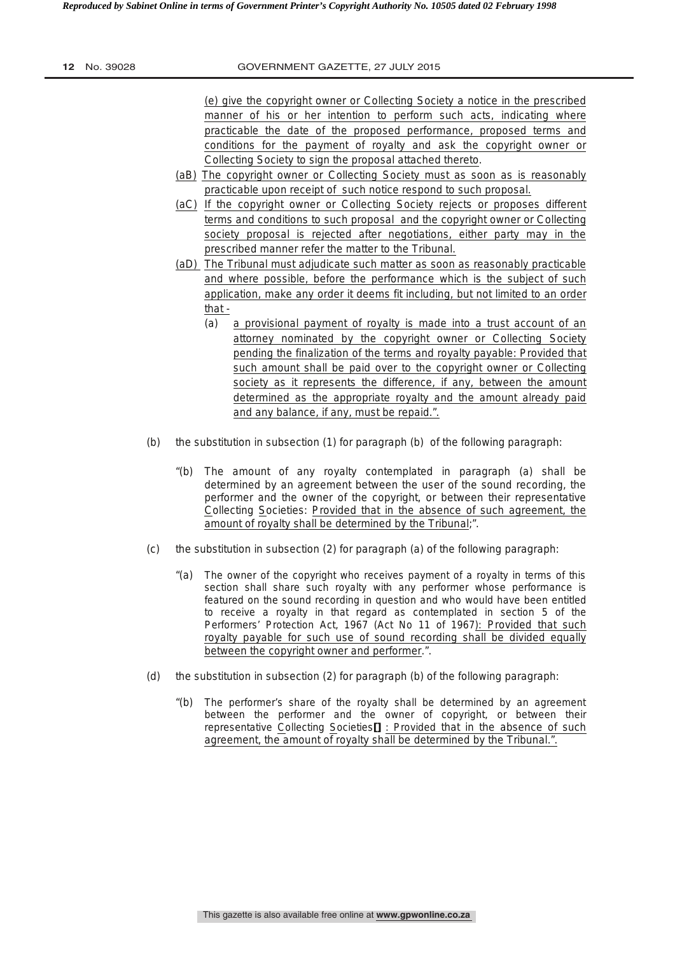(e) give the copyright owner or Collecting Society a notice in the prescribed manner of his or her intention to perform such acts, indicating where practicable the date of the proposed performance, proposed terms and conditions for the payment of royalty and ask the copyright owner or Collecting Society to sign the proposal attached thereto.

- (aB) The copyright owner or Collecting Society must as soon as is reasonably practicable upon receipt of such notice respond to such proposal.
- (aC) If the copyright owner or Collecting Society rejects or proposes different terms and conditions to such proposal and the copyright owner or Collecting society proposal is rejected after negotiations, either party may in the prescribed manner refer the matter to the Tribunal.
- (aD) The Tribunal must adjudicate such matter as soon as reasonably practicable and where possible, before the performance which is the subject of such application, make any order it deems fit including, but not limited to an order that -
	- (a) a provisional payment of royalty is made into a trust account of an attorney nominated by the copyright owner or Collecting Society pending the finalization of the terms and royalty payable: Provided that such amount shall be paid over to the copyright owner or Collecting society as it represents the difference, if any, between the amount determined as the appropriate royalty and the amount already paid and any balance, if any, must be repaid.".
- (b) the substitution in subsection (1) for paragraph (b) of the following paragraph:
	- "(b) The amount of any royalty contemplated in paragraph (a) shall be determined by an agreement between the user of the sound recording, the performer and the owner of the copyright, or between their representative Collecting Societies: Provided that in the absence of such agreement, the amount of royalty shall be determined by the Tribunal;".
- (c) the substitution in subsection (2) for paragraph (a) of the following paragraph:
	- "(a) The owner of the copyright who receives payment of a royalty in terms of this section shall share such royalty with any performer whose performance is featured on the sound recording in question and who would have been entitled to receive a royalty in that regard as contemplated in section 5 of the Performers' Protection Act, 1967 (Act No 11 of 1967): Provided that such royalty payable for such use of sound recording shall be divided equally between the copyright owner and performer.".
- (d) the substitution in subsection (2) for paragraph (b) of the following paragraph:
	- "(b) The performer's share of the royalty shall be determined by an agreement between the performer and the owner of copyright, or between their representative Collecting Societies**[]** : Provided that in the absence of such agreement, the amount of royalty shall be determined by the Tribunal.".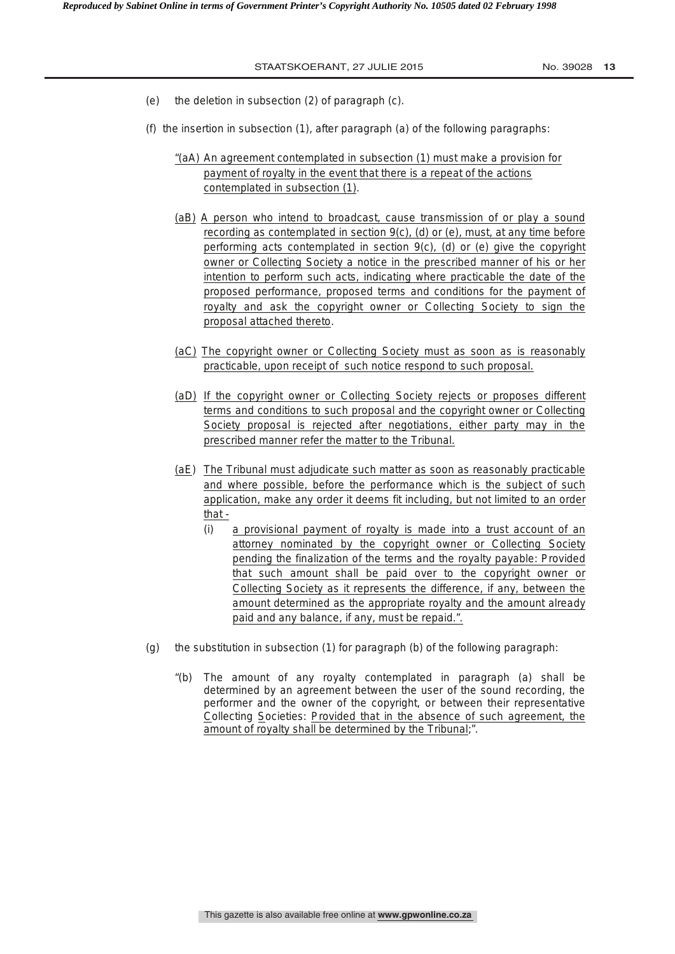- (e) the deletion in subsection (2) of paragraph (c).
- (f) the insertion in subsection (1), after paragraph (a) of the following paragraphs:
	- "(aA) An agreement contemplated in subsection (1) must make a provision for payment of royalty in the event that there is a repeat of the actions contemplated in subsection (1).
	- (aB) A person who intend to broadcast, cause transmission of or play a sound recording as contemplated in section 9(c), (d) or (e), must, at any time before performing acts contemplated in section 9(c), (d) or (e) give the copyright owner or Collecting Society a notice in the prescribed manner of his or her intention to perform such acts, indicating where practicable the date of the proposed performance, proposed terms and conditions for the payment of royalty and ask the copyright owner or Collecting Society to sign the proposal attached thereto.
	- (aC) The copyright owner or Collecting Society must as soon as is reasonably practicable, upon receipt of such notice respond to such proposal.
	- (aD) If the copyright owner or Collecting Society rejects or proposes different terms and conditions to such proposal and the copyright owner or Collecting Society proposal is rejected after negotiations, either party may in the prescribed manner refer the matter to the Tribunal.
	- (aE) The Tribunal must adjudicate such matter as soon as reasonably practicable and where possible, before the performance which is the subject of such application, make any order it deems fit including, but not limited to an order that -
		- (i) a provisional payment of royalty is made into a trust account of an attorney nominated by the copyright owner or Collecting Society pending the finalization of the terms and the royalty payable: Provided that such amount shall be paid over to the copyright owner or Collecting Society as it represents the difference, if any, between the amount determined as the appropriate royalty and the amount already paid and any balance, if any, must be repaid.".
- (g) the substitution in subsection (1) for paragraph (b) of the following paragraph:
	- "(b) The amount of any royalty contemplated in paragraph (a) shall be determined by an agreement between the user of the sound recording, the performer and the owner of the copyright, or between their representative Collecting Societies: Provided that in the absence of such agreement, the amount of royalty shall be determined by the Tribunal;".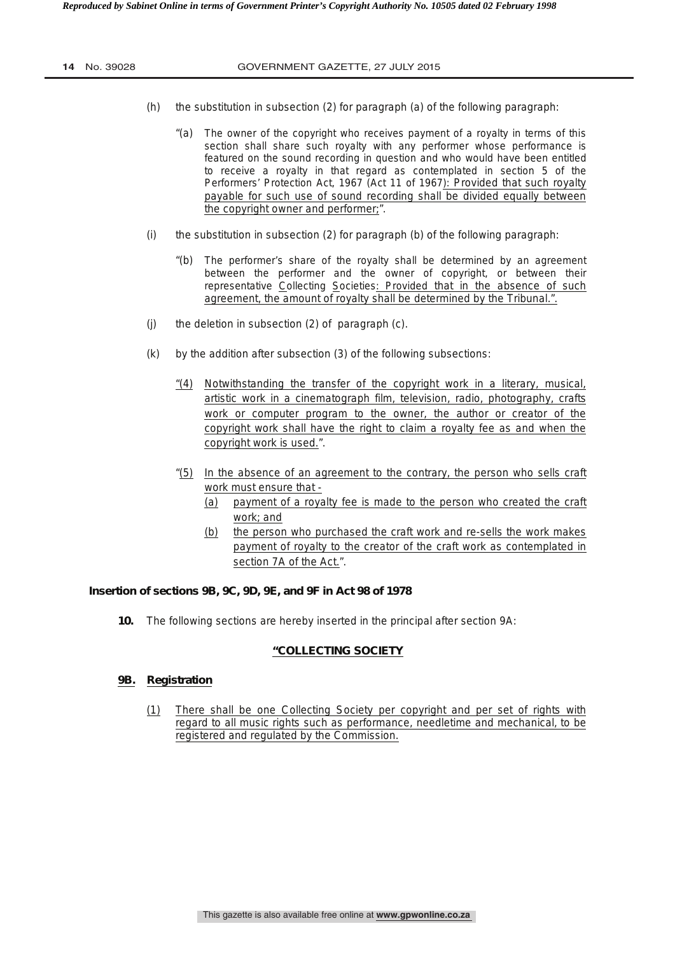- (h) the substitution in subsection (2) for paragraph (a) of the following paragraph:
	- "(a) The owner of the copyright who receives payment of a royalty in terms of this section shall share such royalty with any performer whose performance is featured on the sound recording in question and who would have been entitled to receive a royalty in that regard as contemplated in section 5 of the Performers' Protection Act, 1967 (Act 11 of 1967): Provided that such royalty payable for such use of sound recording shall be divided equally between the copyright owner and performer;".
- (i) the substitution in subsection (2) for paragraph (b) of the following paragraph:
	- "(b) The performer's share of the royalty shall be determined by an agreement between the performer and the owner of copyright, or between their representative Collecting Societies: Provided that in the absence of such agreement, the amount of royalty shall be determined by the Tribunal.".
- (j) the deletion in subsection (2) of paragraph (c).
- (k) by the addition after subsection (3) of the following subsections:
	- "(4) Notwithstanding the transfer of the copyright work in a literary, musical, artistic work in a cinematograph film, television, radio, photography, crafts work or computer program to the owner, the author or creator of the copyright work shall have the right to claim a royalty fee as and when the copyright work is used.".
	- "(5) In the absence of an agreement to the contrary, the person who sells craft work must ensure that -
		- (a) payment of a royalty fee is made to the person who created the craft work; and
		- (b) the person who purchased the craft work and re-sells the work makes payment of royalty to the creator of the craft work as contemplated in section 7A of the Act.".

# **Insertion of sections 9B, 9C, 9D, 9E, and 9F in Act 98 of 1978**

**10.** The following sections are hereby inserted in the principal after section 9A:

#### **"COLLECTING SOCIETY**

#### **9B. Registration**

(1) There shall be one Collecting Society per copyright and per set of rights with regard to all music rights such as performance, needletime and mechanical, to be registered and regulated by the Commission.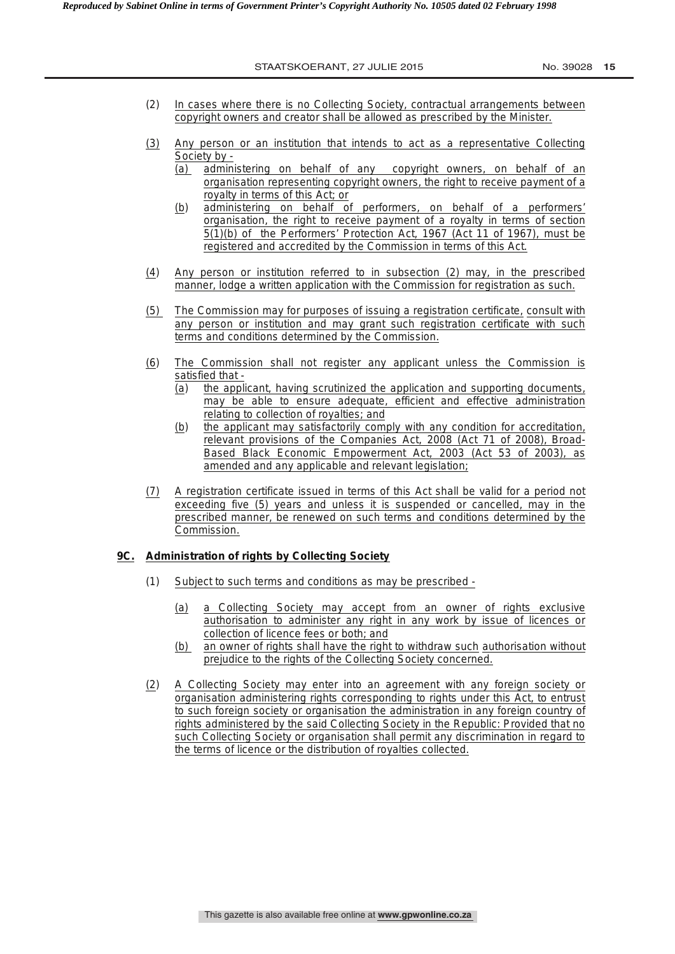- (2) In cases where there is no Collecting Society, contractual arrangements between copyright owners and creator shall be allowed as prescribed by the Minister.
- (3) Any person or an institution that intends to act as a representative Collecting Society by -
	- (a) administering on behalf of any copyright owners, on behalf of an organisation representing copyright owners, the right to receive payment of a royalty in terms of this Act; or
	- (b) administering on behalf of performers, on behalf of a performers' organisation, the right to receive payment of a royalty in terms of section 5(1)(b) of the Performers' Protection Act, 1967 (Act 11 of 1967), must be registered and accredited by the Commission in terms of this Act.
- (4)Any person or institution referred to in subsection (2) may, in the prescribed manner, lodge a written application with the Commission for registration as such.
- (5) The Commission may for purposes of issuing a registration certificate, consult with any person or institution and may grant such registration certificate with such terms and conditions determined by the Commission.
- (6)The Commission shall not register any applicant unless the Commission is satisfied that -
	- (a) the applicant, having scrutinized the application and supporting documents, may be able to ensure adequate, efficient and effective administration relating to collection of royalties; and
	- (b) the applicant may satisfactorily comply with any condition for accreditation, relevant provisions of the Companies Act, 2008 (Act 71 of 2008), Broad-Based Black Economic Empowerment Act, 2003 (Act 53 of 2003), as amended and any applicable and relevant legislation;
- (7) A registration certificate issued in terms of this Act shall be valid for a period not exceeding five (5) years and unless it is suspended or cancelled, may in the prescribed manner, be renewed on such terms and conditions determined by the Commission.

#### **9C. Administration of rights by Collecting Society**

- (1) Subject to such terms and conditions as may be prescribed
	- (a) a Collecting Society may accept from an owner of rights exclusive authorisation to administer any right in any work by issue of licences or collection of licence fees or both; and
	- (b) an owner of rights shall have the right to withdraw such authorisation without prejudice to the rights of the Collecting Society concerned.
- (2) A Collecting Society may enter into an agreement with any foreign society or organisation administering rights corresponding to rights under this Act, to entrust to such foreign society or organisation the administration in any foreign country of rights administered by the said Collecting Society in the Republic: Provided that no such Collecting Society or organisation shall permit any discrimination in regard to the terms of licence or the distribution of royalties collected.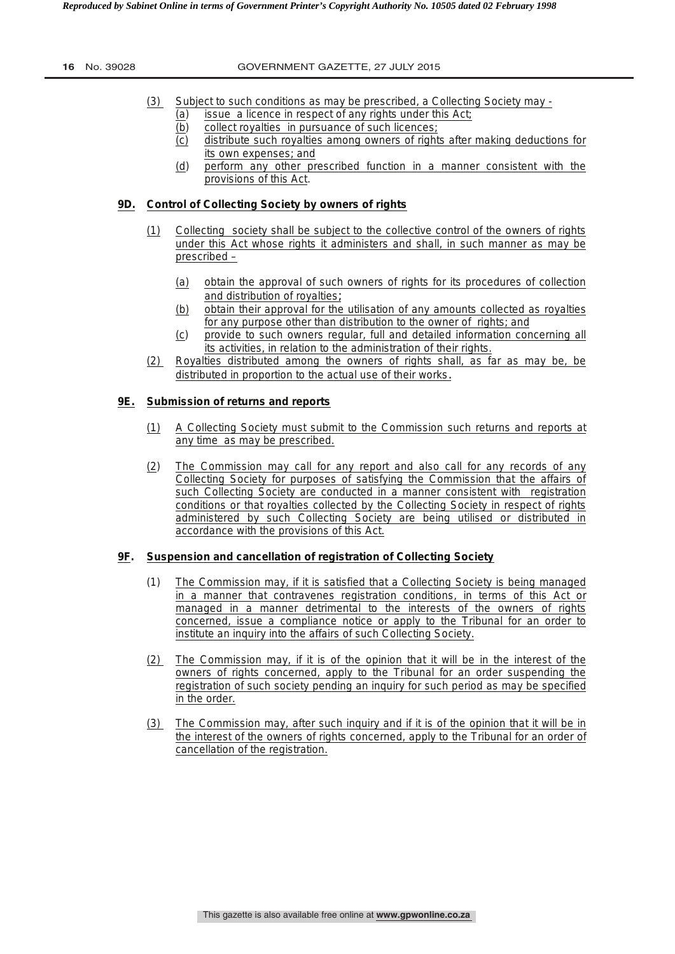#### **16** No. 39028 GOVERNMENT GAZETTE, 27 JULY 2015

- (3) Subject to such conditions as may be prescribed, a Collecting Society may
	- (a) issue a licence in respect of any rights under this Act;
	- (b) collect royalties in pursuance of such licences;
	- (c) distribute such royalties among owners of rights after making deductions for its own expenses; and
	- (d) perform any other prescribed function in a manner consistent with the provisions of this Act.

## **9D. Control of Collecting Society by owners of rights**

- (1) Collecting society shall be subject to the collective control of the owners of rights under this Act whose rights it administers and shall, in such manner as may be prescribed –
	- (a) obtain the approval of such owners of rights for its procedures of collection and distribution of royalties;
	- (b)obtain their approval for the utilisation of any amounts collected as royalties for any purpose other than distribution to the owner of rights; and
	- (c)provide to such owners regular, full and detailed information concerning all its activities, in relation to the administration of their rights.
- (2) Royalties distributed among the owners of rights shall, as far as may be, be distributed in proportion to the actual use of their works.

# **9E. Submission of returns and reports**

- (1) A Collecting Society must submit to the Commission such returns and reports at any time as may be prescribed.
- (2) The Commission may call for any report and also call for any records of any Collecting Society for purposes of satisfying the Commission that the affairs of such Collecting Society are conducted in a manner consistent with registration conditions or that royalties collected by the Collecting Society in respect of rights administered by such Collecting Society are being utilised or distributed in accordance with the provisions of this Act.

### **9F. Suspension and cancellation of registration of Collecting Society**

- (1) The Commission may, if it is satisfied that a Collecting Society is being managed in a manner that contravenes registration conditions, in terms of this Act or managed in a manner detrimental to the interests of the owners of rights concerned, issue a compliance notice or apply to the Tribunal for an order to institute an inquiry into the affairs of such Collecting Society.
- (2) The Commission may, if it is of the opinion that it will be in the interest of the owners of rights concerned, apply to the Tribunal for an order suspending the registration of such society pending an inquiry for such period as may be specified in the order.
- (3) The Commission may, after such inquiry and if it is of the opinion that it will be in the interest of the owners of rights concerned, apply to the Tribunal for an order of cancellation of the registration.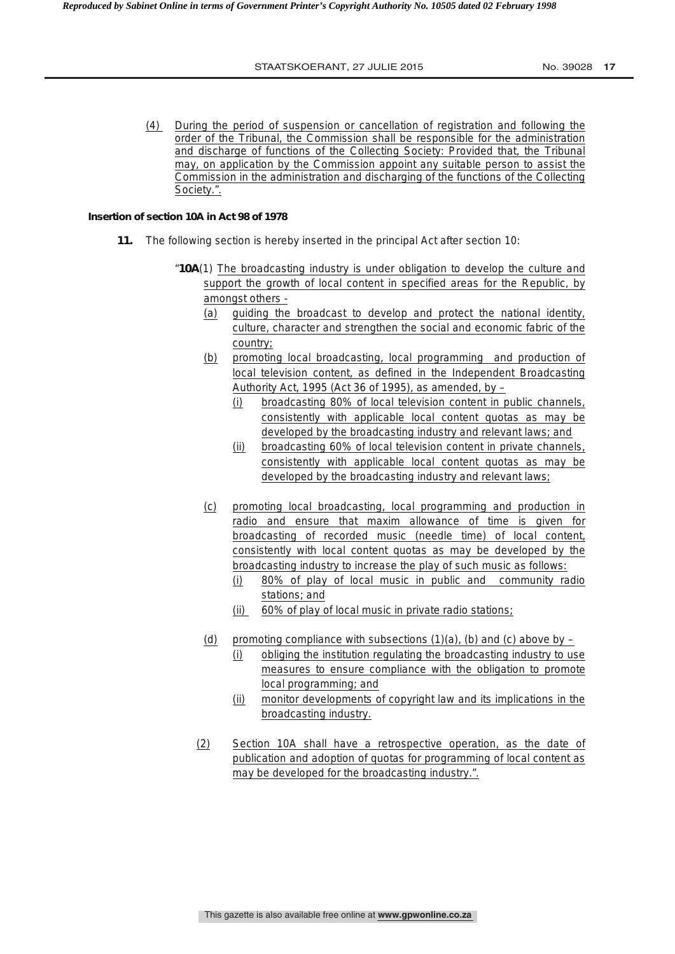(4) During the period of suspension or cancellation of registration and following the order of the Tribunal, the Commission shall be responsible for the administration and discharge of functions of the Collecting Society: Provided that, the Tribunal may, on application by the Commission appoint any suitable person to assist the Commission in the administration and discharging of the functions of the Collecting Society.".

# **Insertion of section 10A in Act 98 of 1978**

- **11.** The following section is hereby inserted in the principal Act after section 10:
	- "**10A**(1) The broadcasting industry is under obligation to develop the culture and support the growth of local content in specified areas for the Republic, by amongst others -
		- (a) guiding the broadcast to develop and protect the national identity, culture, character and strengthen the social and economic fabric of the country;
		- (b) promoting local broadcasting, local programming and production of local television content, as defined in the Independent Broadcasting Authority Act, 1995 (Act 36 of 1995), as amended, by  $-$ 
			- (i) broadcasting 80% of local television content in public channels, consistently with applicable local content quotas as may be developed by the broadcasting industry and relevant laws; and
			- (ii) broadcasting 60% of local television content in private channels, consistently with applicable local content quotas as may be developed by the broadcasting industry and relevant laws;
		- (c) promoting local broadcasting, local programming and production in radio and ensure that maxim allowance of time is given for broadcasting of recorded music (needle time) of local content, consistently with local content quotas as may be developed by the broadcasting industry to increase the play of such music as follows:
			- (i) 80% of play of local music in public and community radio stations; and
			- (ii) 60% of play of local music in private radio stations;
		- (d) promoting compliance with subsections  $(1)(a)$ ,  $(b)$  and  $(c)$  above by
			- (i) obliging the institution regulating the broadcasting industry to use measures to ensure compliance with the obligation to promote local programming; and
			- (ii) monitor developments of copyright law and its implications in the broadcasting industry.
		- (2) Section 10A shall have a retrospective operation, as the date of publication and adoption of quotas for programming of local content as may be developed for the broadcasting industry.".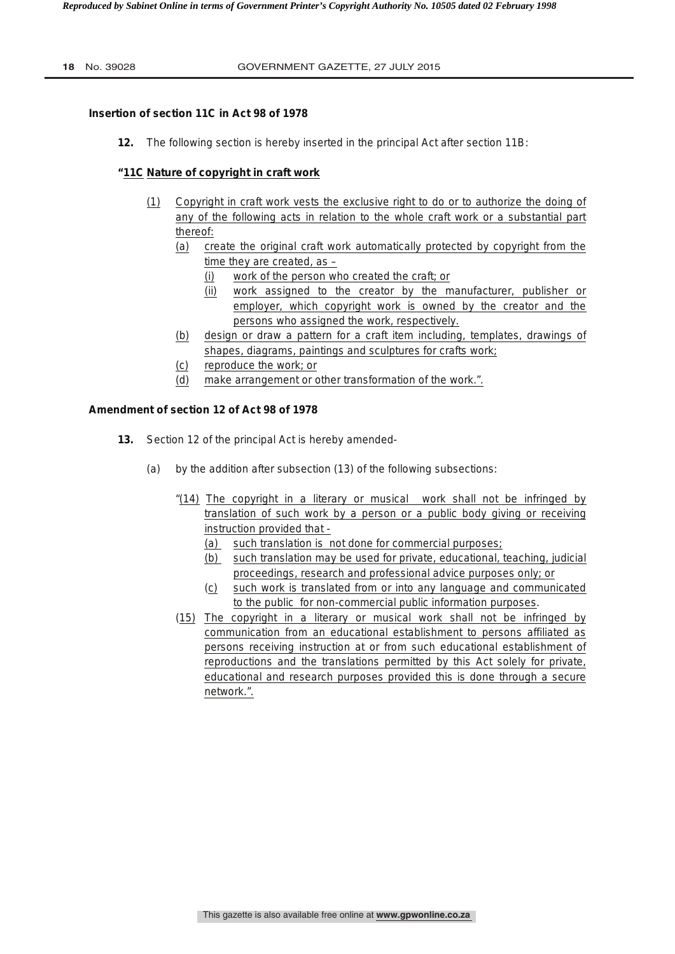# **Insertion of section 11C in Act 98 of 1978**

**12.** The following section is hereby inserted in the principal Act after section 11B:

# **"11C Nature of copyright in craft work**

- (1) Copyright in craft work vests the exclusive right to do or to authorize the doing of any of the following acts in relation to the whole craft work or a substantial part thereof:
	- (a) create the original craft work automatically protected by copyright from the time they are created, as –
		- (i) work of the person who created the craft; or
		- (ii) work assigned to the creator by the manufacturer, publisher or employer, which copyright work is owned by the creator and the persons who assigned the work, respectively.
	- (b) design or draw a pattern for a craft item including, templates, drawings of shapes, diagrams, paintings and sculptures for crafts work;
	- (c) reproduce the work; or
	- (d) make arrangement or other transformation of the work.".

#### **Amendment of section 12 of Act 98 of 1978**

- **13.** Section 12 of the principal Act is hereby amended-
	- (a) by the addition after subsection (13) of the following subsections:
		- "(14) The copyright in a literary or musical work shall not be infringed by translation of such work by a person or a public body giving or receiving instruction provided that -
			- (a) such translation is not done for commercial purposes;
			- (b) such translation may be used for private, educational, teaching, judicial proceedings, research and professional advice purposes only; or
			- (c) such work is translated from or into any language and communicated to the public for non-commercial public information purposes.
		- (15) The copyright in a literary or musical work shall not be infringed by communication from an educational establishment to persons affiliated as persons receiving instruction at or from such educational establishment of reproductions and the translations permitted by this Act solely for private, educational and research purposes provided this is done through a secure network.".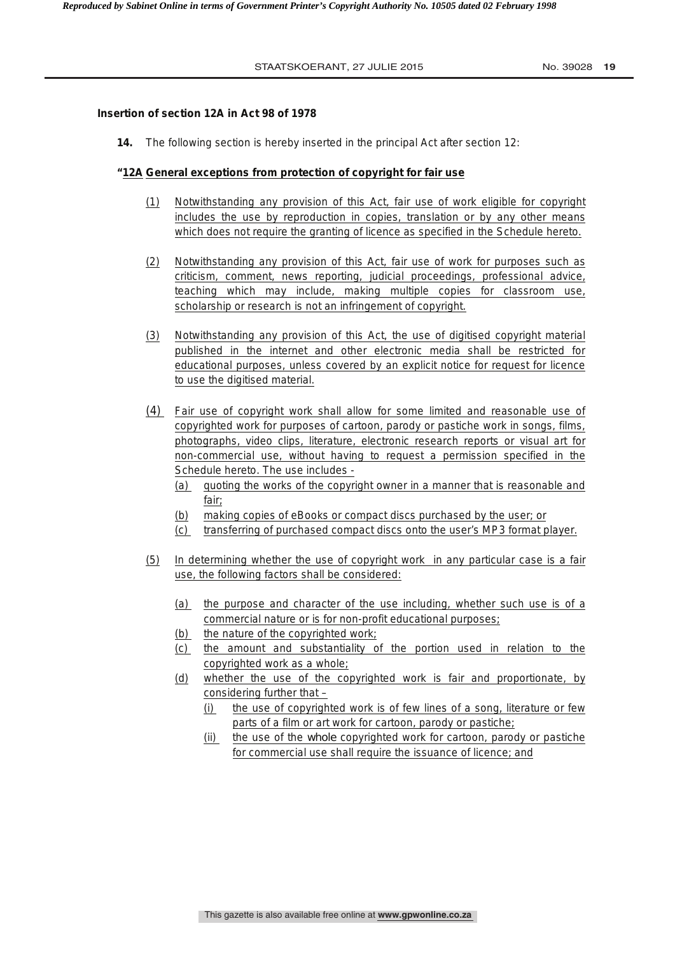# **Insertion of section 12A in Act 98 of 1978**

**14.** The following section is hereby inserted in the principal Act after section 12:

# **"12A General exceptions from protection of copyright for fair use**

- (1) Notwithstanding any provision of this Act, fair use of work eligible for copyright includes the use by reproduction in copies, translation or by any other means which does not require the granting of licence as specified in the Schedule hereto.
- (2) Notwithstanding any provision of this Act, fair use of work for purposes such as criticism, comment, news reporting, judicial proceedings, professional advice, teaching which may include, making multiple copies for classroom use, scholarship or research is not an infringement of copyright.
- (3) Notwithstanding any provision of this Act, the use of digitised copyright material published in the internet and other electronic media shall be restricted for educational purposes, unless covered by an explicit notice for request for licence to use the digitised material.
- (4) Fair use of copyright work shall allow for some limited and reasonable use of copyrighted work for purposes of cartoon, parody or pastiche work in songs, films, photographs, video clips, literature, electronic research reports or visual art for non-commercial use, without having to request a permission specified in the Schedule hereto. The use includes -
	- (a) quoting the works of the copyright owner in a manner that is reasonable and fair;
	- (b) making copies of eBooks or compact discs purchased by the user; or
	- (c) transferring of purchased compact discs onto the user's MP3 format player.
- (5) In determining whether the use of copyright work in any particular case is a fair use, the following factors shall be considered:
	- (a) the purpose and character of the use including, whether such use is of a commercial nature or is for non-profit educational purposes;
	- (b) the nature of the copyrighted work;
	- (c) the amount and substantiality of the portion used in relation to the copyrighted work as a whole;
	- (d) whether the use of the copyrighted work is fair and proportionate, by considering further that –
		- (i) the use of copyrighted work is of few lines of a song, literature or few parts of a film or art work for cartoon, parody or pastiche;
		- (ii) the use of the *whole* copyrighted work for cartoon, parody or pastiche for commercial use shall require the issuance of licence; and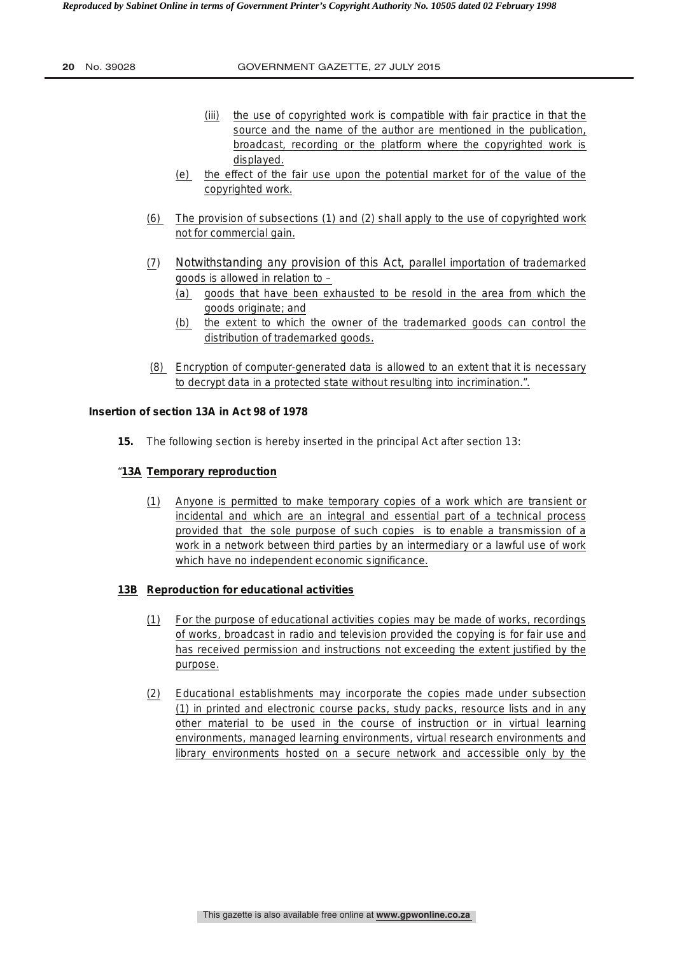- (iii) the use of copyrighted work is compatible with fair practice in that the source and the name of the author are mentioned in the publication, broadcast, recording or the platform where the copyrighted work is displayed.
- (e) the effect of the fair use upon the potential market for of the value of the copyrighted work.
- (6) The provision of subsections (1) and (2) shall apply to the use of copyrighted work not for commercial gain.
- (7) Notwithstanding any provision of this Act, parallel importation of trademarked goods is allowed in relation to –
	- (a) goods that have been exhausted to be resold in the area from which the goods originate; and
	- (b) the extent to which the owner of the trademarked goods can control the distribution of trademarked goods.
- (8) Encryption of computer-generated data is allowed to an extent that it is necessary to decrypt data in a protected state without resulting into incrimination.".

# **Insertion of section 13A in Act 98 of 1978**

**15.** The following section is hereby inserted in the principal Act after section 13:

## "**13A Temporary reproduction**

(1) Anyone is permitted to make temporary copies of a work which are transient or incidental and which are an integral and essential part of a technical process provided that the sole purpose of such copies is to enable a transmission of a work in a network between third parties by an intermediary or a lawful use of work which have no independent economic significance.

# **13B Reproduction for educational activities**

- (1) For the purpose of educational activities copies may be made of works, recordings of works, broadcast in radio and television provided the copying is for fair use and has received permission and instructions not exceeding the extent justified by the purpose.
- (2) Educational establishments may incorporate the copies made under subsection (1) in printed and electronic course packs, study packs, resource lists and in any other material to be used in the course of instruction or in virtual learning environments, managed learning environments, virtual research environments and library environments hosted on a secure network and accessible only by the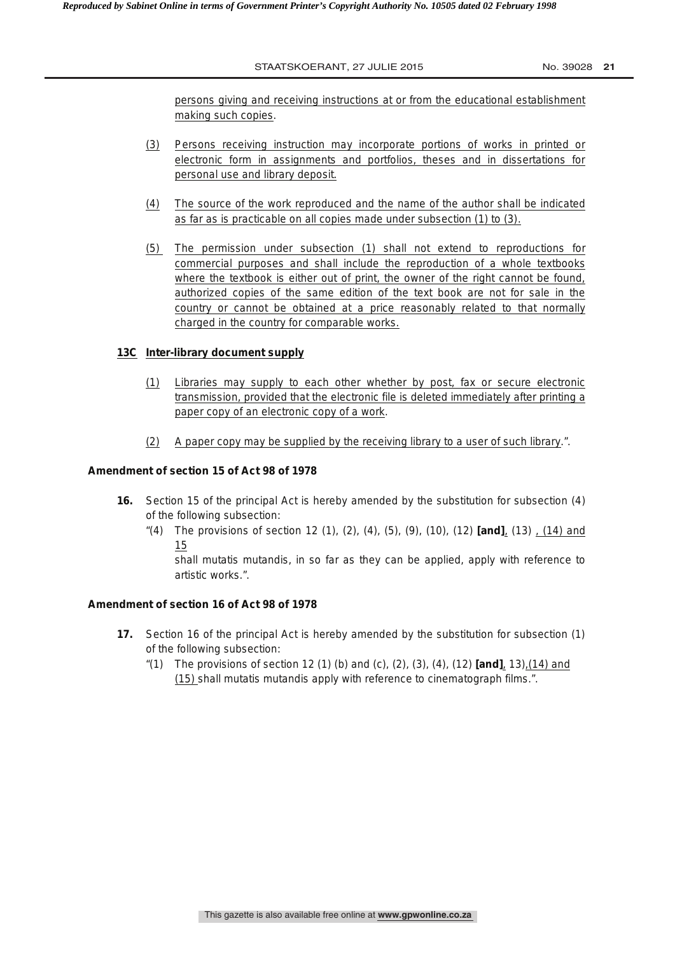persons giving and receiving instructions at or from the educational establishment making such copies.

- (3) Persons receiving instruction may incorporate portions of works in printed or electronic form in assignments and portfolios, theses and in dissertations for personal use and library deposit.
- (4) The source of the work reproduced and the name of the author shall be indicated as far as is practicable on all copies made under subsection (1) to (3).
- (5) The permission under subsection (1) shall not extend to reproductions for commercial purposes and shall include the reproduction of a whole textbooks where the textbook is either out of print, the owner of the right cannot be found, authorized copies of the same edition of the text book are not for sale in the country or cannot be obtained at a price reasonably related to that normally charged in the country for comparable works.

# **13C Inter-library document supply**

- (1) Libraries may supply to each other whether by post, fax or secure electronic transmission, provided that the electronic file is deleted immediately after printing a paper copy of an electronic copy of a work.
- (2) A paper copy may be supplied by the receiving library to a user of such library.".

# **Amendment of section 15 of Act 98 of 1978**

- **16.** Section 15 of the principal Act is hereby amended by the substitution for subsection (4) of the following subsection:
	- "(4) The provisions of section 12 (1), (2), (4), (5), (9), (10), (12) **[and]**, (13) , (14) and 15

shall mutatis mutandis, in so far as they can be applied, apply with reference to artistic works.".

# **Amendment of section 16 of Act 98 of 1978**

- **17.** Section 16 of the principal Act is hereby amended by the substitution for subsection (1) of the following subsection:
	- "(1) The provisions of section 12 (1) (b) and (c), (2), (3), (4), (12) **[and]**, 13),(14) and (15) shall mutatis mutandis apply with reference to cinematograph films.".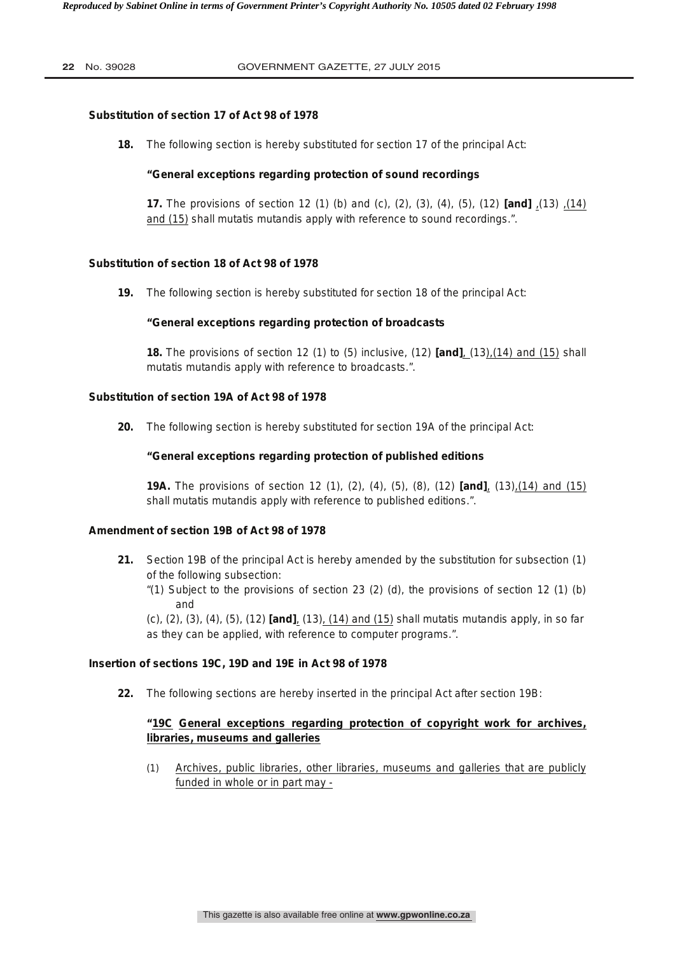# **Substitution of section 17 of Act 98 of 1978**

**18.** The following section is hereby substituted for section 17 of the principal Act:

# **"General exceptions regarding protection of sound recordings**

**17.** The provisions of section 12 (1) (b) and (c), (2), (3), (4), (5), (12) **[and]** ,(13) ,(14) and (15) shall mutatis mutandis apply with reference to sound recordings.".

# **Substitution of section 18 of Act 98 of 1978**

**19.** The following section is hereby substituted for section 18 of the principal Act:

# **"General exceptions regarding protection of broadcasts**

 **18.** The provisions of section 12 (1) to (5) inclusive, (12) **[and]**, (13),(14) and (15) shall mutatis mutandis apply with reference to broadcasts.".

# **Substitution of section 19A of Act 98 of 1978**

**20.** The following section is hereby substituted for section 19A of the principal Act:

# **"General exceptions regarding protection of published editions**

**19A.** The provisions of section 12 (1), (2), (4), (5), (8), (12) **[and]**, (13),(14) and (15) shall mutatis mutandis apply with reference to published editions.".

# **Amendment of section 19B of Act 98 of 1978**

- **21.** Section 19B of the principal Act is hereby amended by the substitution for subsection (1) of the following subsection:
	- "(1) Subject to the provisions of section 23 (2) (d), the provisions of section 12 (1) (b) and

(c), (2), (3), (4), (5), (12) **[and]**, (13), (14) and (15) shall mutatis mutandis apply, in so far as they can be applied, with reference to computer programs.".

# **Insertion of sections 19C, 19D and 19E in Act 98 of 1978**

**22.** The following sections are hereby inserted in the principal Act after section 19B:

# **"19C General exceptions regarding protection of copyright work for archives, libraries, museums and galleries**

(1) Archives, public libraries, other libraries, museums and galleries that are publicly funded in whole or in part may -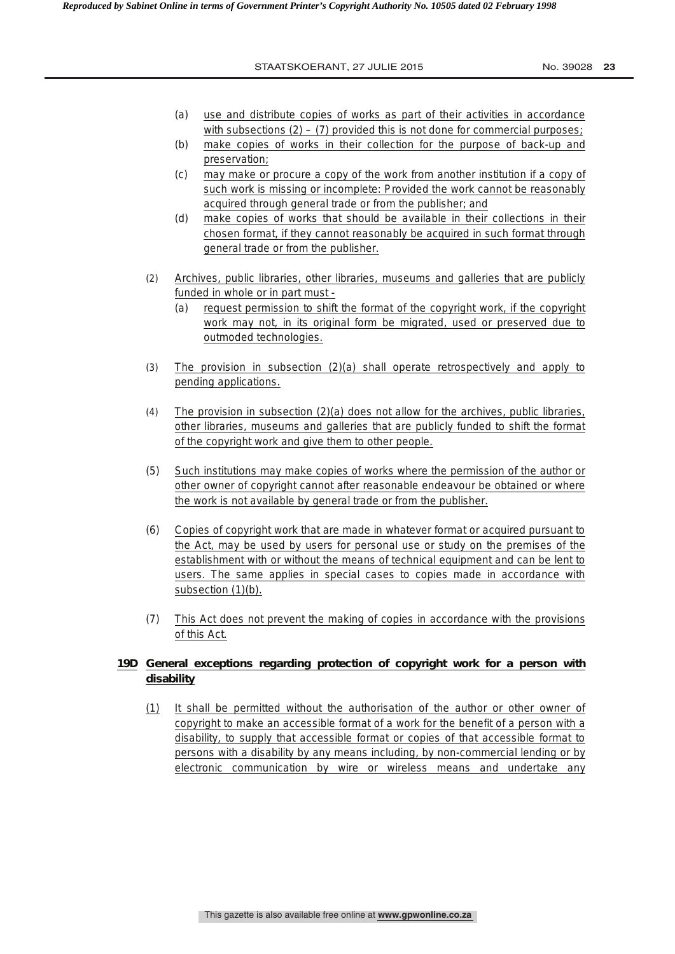- (a) use and distribute copies of works as part of their activities in accordance with subsections  $(2) - (7)$  provided this is not done for commercial purposes;
- (b) make copies of works in their collection for the purpose of back-up and preservation;
- (c) may make or procure a copy of the work from another institution if a copy of such work is missing or incomplete: Provided the work cannot be reasonably acquired through general trade or from the publisher; and
- (d) make copies of works that should be available in their collections in their chosen format, if they cannot reasonably be acquired in such format through general trade or from the publisher.
- (2) Archives, public libraries, other libraries, museums and galleries that are publicly funded in whole or in part must -
	- (a) request permission to shift the format of the copyright work, if the copyright work may not, in its original form be migrated, used or preserved due to outmoded technologies.
- (3) The provision in subsection (2)(a) shall operate retrospectively and apply to pending applications.
- (4) The provision in subsection (2)(a) does not allow for the archives, public libraries, other libraries, museums and galleries that are publicly funded to shift the format of the copyright work and give them to other people.
- (5) Such institutions may make copies of works where the permission of the author or other owner of copyright cannot after reasonable endeavour be obtained or where the work is not available by general trade or from the publisher.
- (6) Copies of copyright work that are made in whatever format or acquired pursuant to the Act, may be used by users for personal use or study on the premises of the establishment with or without the means of technical equipment and can be lent to users. The same applies in special cases to copies made in accordance with subsection (1)(b).
- (7) This Act does not prevent the making of copies in accordance with the provisions of this Act.

# **19D General exceptions regarding protection of copyright work for a person with disability**

(1) It shall be permitted without the authorisation of the author or other owner of copyright to make an accessible format of a work for the benefit of a person with a disability, to supply that accessible format or copies of that accessible format to persons with a disability by any means including, by non-commercial lending or by electronic communication by wire or wireless means and undertake any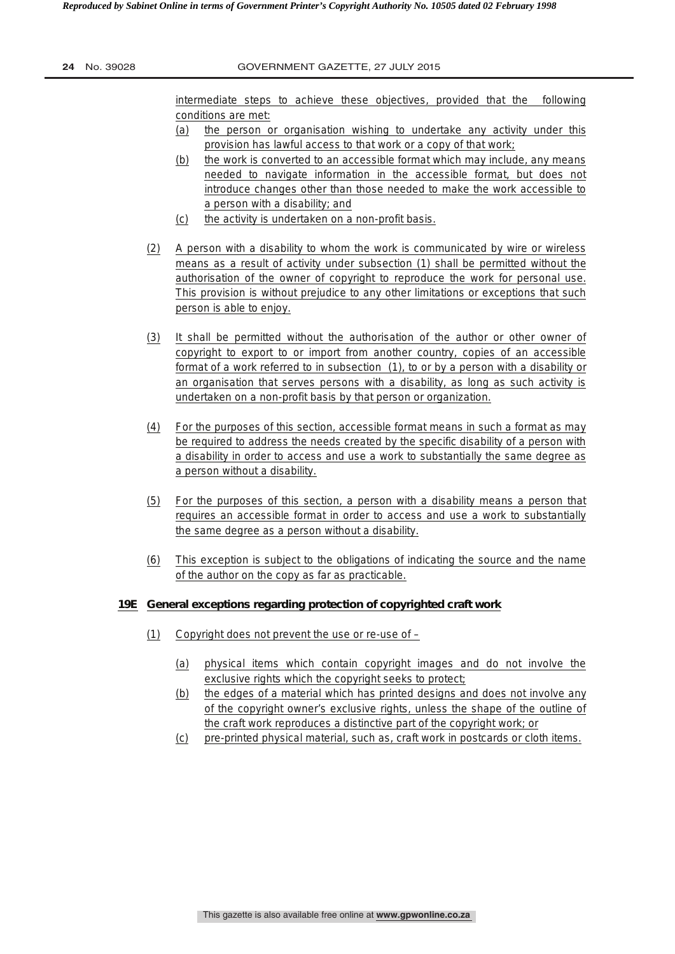intermediate steps to achieve these objectives, provided that the following conditions are met:

- (a) the person or organisation wishing to undertake any activity under this provision has lawful access to that work or a copy of that work;
- (b) the work is converted to an accessible format which may include, any means needed to navigate information in the accessible format, but does not introduce changes other than those needed to make the work accessible to a person with a disability; and
- (c) the activity is undertaken on a non-profit basis.
- (2) A person with a disability to whom the work is communicated by wire or wireless means as a result of activity under subsection (1) shall be permitted without the authorisation of the owner of copyright to reproduce the work for personal use. This provision is without prejudice to any other limitations or exceptions that such person is able to enjoy.
- (3) It shall be permitted without the authorisation of the author or other owner of copyright to export to or import from another country, copies of an accessible format of a work referred to in subsection (1), to or by a person with a disability or an organisation that serves persons with a disability, as long as such activity is undertaken on a non-profit basis by that person or organization.
- (4) For the purposes of this section, accessible format means in such a format as may be required to address the needs created by the specific disability of a person with a disability in order to access and use a work to substantially the same degree as a person without a disability.
- (5) For the purposes of this section, a person with a disability means a person that requires an accessible format in order to access and use a work to substantially the same degree as a person without a disability.
- (6) This exception is subject to the obligations of indicating the source and the name of the author on the copy as far as practicable.

# **19E General exceptions regarding protection of copyrighted craft work**

- $(1)$  Copyright does not prevent the use or re-use of
	- (a) physical items which contain copyright images and do not involve the exclusive rights which the copyright seeks to protect;
	- (b) the edges of a material which has printed designs and does not involve any of the copyright owner's exclusive rights, unless the shape of the outline of the craft work reproduces a distinctive part of the copyright work; or
	- (c) pre-printed physical material, such as, craft work in postcards or cloth items.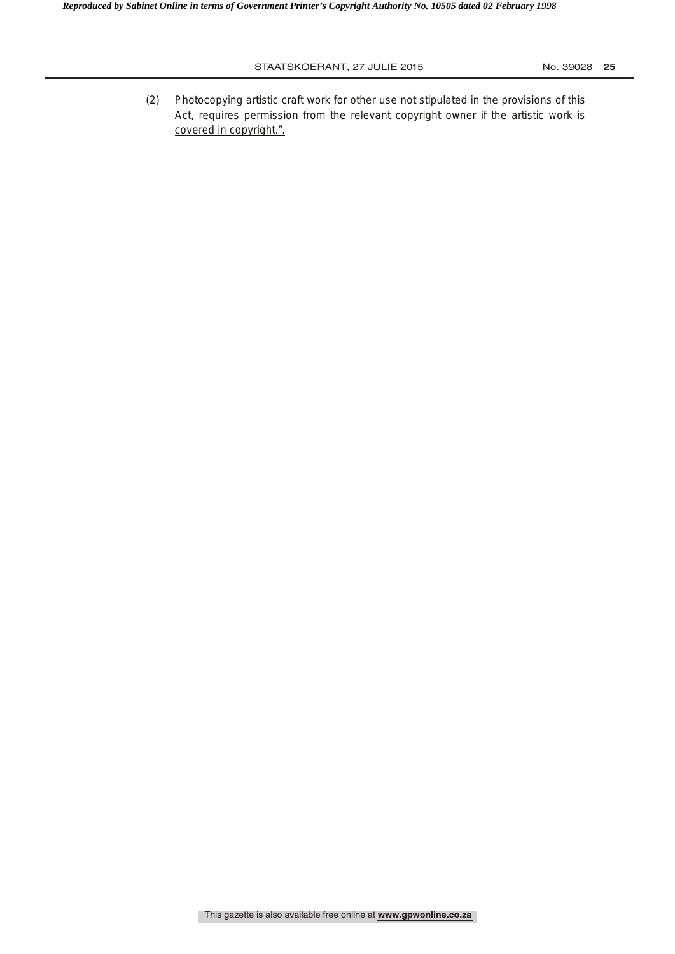(2) Photocopying artistic craft work for other use not stipulated in the provisions of this Act, requires permission from the relevant copyright owner if the artistic work is covered in copyright.".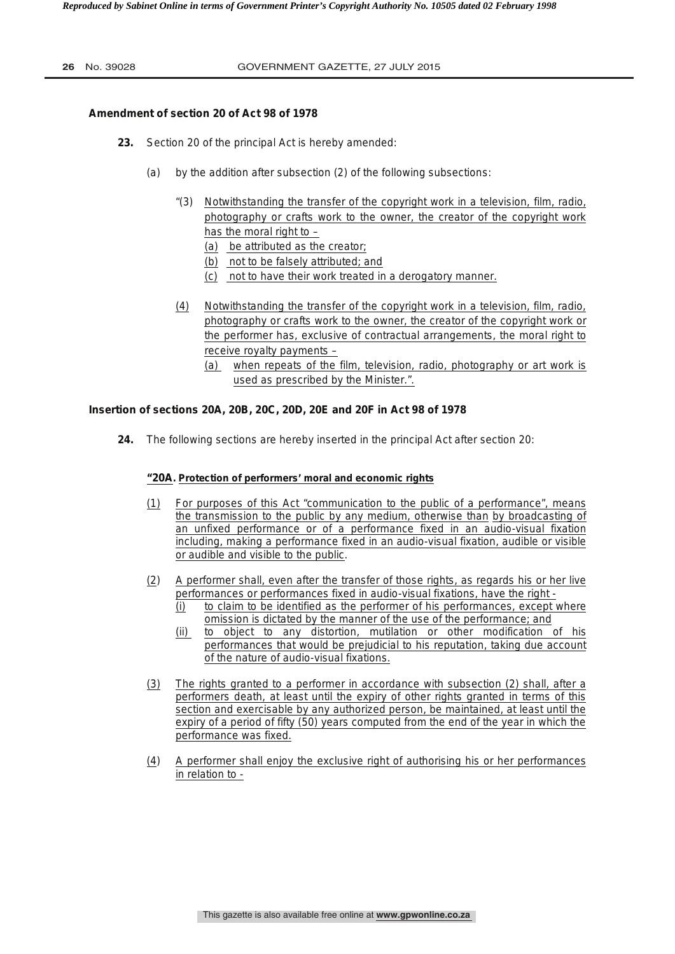## **Amendment of section 20 of Act 98 of 1978**

- **23.** Section 20 of the principal Act is hereby amended:
	- (a) by the addition after subsection (2) of the following subsections:
		- "(3) Notwithstanding the transfer of the copyright work in a television, film, radio, photography or crafts work to the owner, the creator of the copyright work has the moral right to  $-$ 
			- (a) be attributed as the creator;
			- (b) not to be falsely attributed; and
			- (c) not to have their work treated in a derogatory manner.
		- (4) Notwithstanding the transfer of the copyright work in a television, film, radio, photography or crafts work to the owner, the creator of the copyright work or the performer has, exclusive of contractual arrangements, the moral right to receive royalty payments –
			- (a) when repeats of the film, television, radio, photography or art work is used as prescribed by the Minister.".

#### **Insertion of sections 20A, 20B, 20C, 20D, 20E and 20F in Act 98 of 1978**

**24.** The following sections are hereby inserted in the principal Act after section 20:

# **"20A. Protection of performers' moral and economic rights**

- (1) For purposes of this Act "communication to the public of a performance", means the transmission to the public by any medium, otherwise than by broadcasting of an unfixed performance or of a performance fixed in an audio-visual fixation including, making a performance fixed in an audio-visual fixation, audible or visible or audible and visible to the public.
- (2) A performer shall, even after the transfer of those rights, as regards his or her live performances or performances fixed in audio-visual fixations, have the right -
	- (i) to claim to be identified as the performer of his performances, except where omission is dictated by the manner of the use of the performance; and
	- (ii) to object to any distortion, mutilation or other modification of his performances that would be prejudicial to his reputation, taking due account of the nature of audio-visual fixations.
- (3) The rights granted to a performer in accordance with subsection (2) shall, after a performers death, at least until the expiry of other rights granted in terms of this section and exercisable by any authorized person, be maintained, at least until the expiry of a period of fifty (50) years computed from the end of the year in which the performance was fixed.
- (4) A performer shall enjoy the exclusive right of authorising his or her performances in relation to -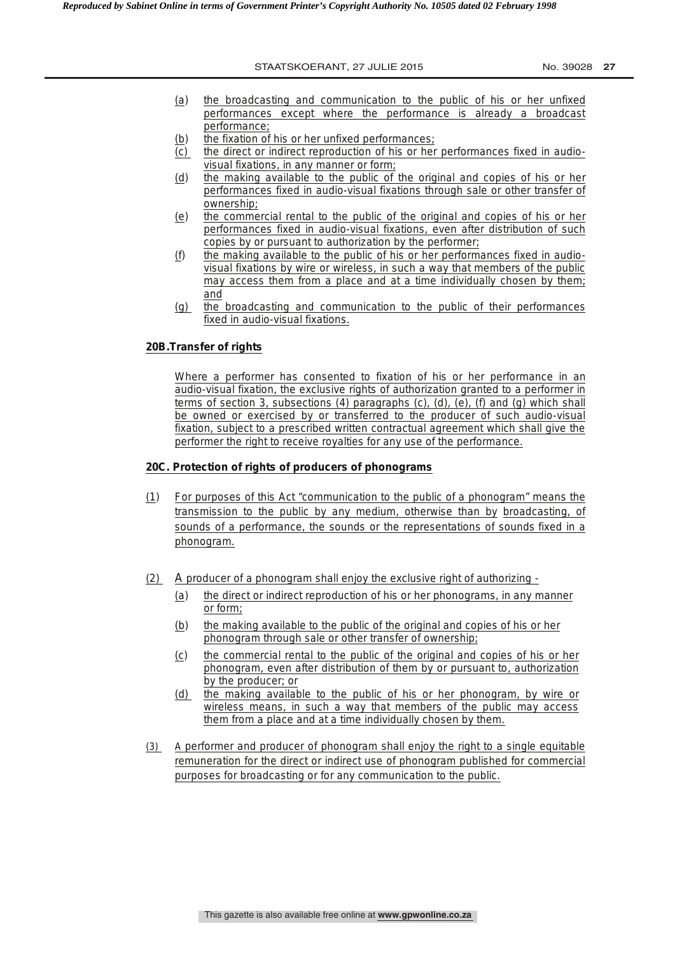- (a) the broadcasting and communication to the public of his or her unfixed performances except where the performance is already a broadcast performance;
- (b) the fixation of his or her unfixed performances;
- (c) the direct or indirect reproduction of his or her performances fixed in audiovisual fixations, in any manner or form;
- (d) the making available to the public of the original and copies of his or her performances fixed in audio-visual fixations through sale or other transfer of ownership;
- (e) the commercial rental to the public of the original and copies of his or her performances fixed in audio-visual fixations, even after distribution of such copies by or pursuant to authorization by the performer;
- (f) the making available to the public of his or her performances fixed in audiovisual fixations by wire or wireless, in such a way that members of the public may access them from a place and at a time individually chosen by them; and
- (g) the broadcasting and communication to the public of their performances fixed in audio-visual fixations.

## **20B.Transfer of rights**

Where a performer has consented to fixation of his or her performance in an audio-visual fixation, the exclusive rights of authorization granted to a performer in terms of section 3, subsections (4) paragraphs (c), (d), (e), (f) and (g) which shall be owned or exercised by or transferred to the producer of such audio-visual fixation, subject to a prescribed written contractual agreement which shall give the performer the right to receive royalties for any use of the performance.

#### **20C. Protection of rights of producers of phonograms**

- (1) For purposes of this Act "communication to the public of a phonogram" means the transmission to the public by any medium, otherwise than by broadcasting, of sounds of a performance, the sounds or the representations of sounds fixed in a phonogram.
- (2) A producer of a phonogram shall enjoy the exclusive right of authorizing
	- (a) the direct or indirect reproduction of his or her phonograms, in any manner or form;
	- (b) the making available to the public of the original and copies of his or her phonogram through sale or other transfer of ownership;
	- (c) the commercial rental to the public of the original and copies of his or her phonogram, even after distribution of them by or pursuant to, authorization by the producer; or
	- (d) the making available to the public of his or her phonogram, by wire or wireless means, in such a way that members of the public may access them from a place and at a time individually chosen by them.
- (3) A performer and producer of phonogram shall enjoy the right to a single equitable remuneration for the direct or indirect use of phonogram published for commercial purposes for broadcasting or for any communication to the public.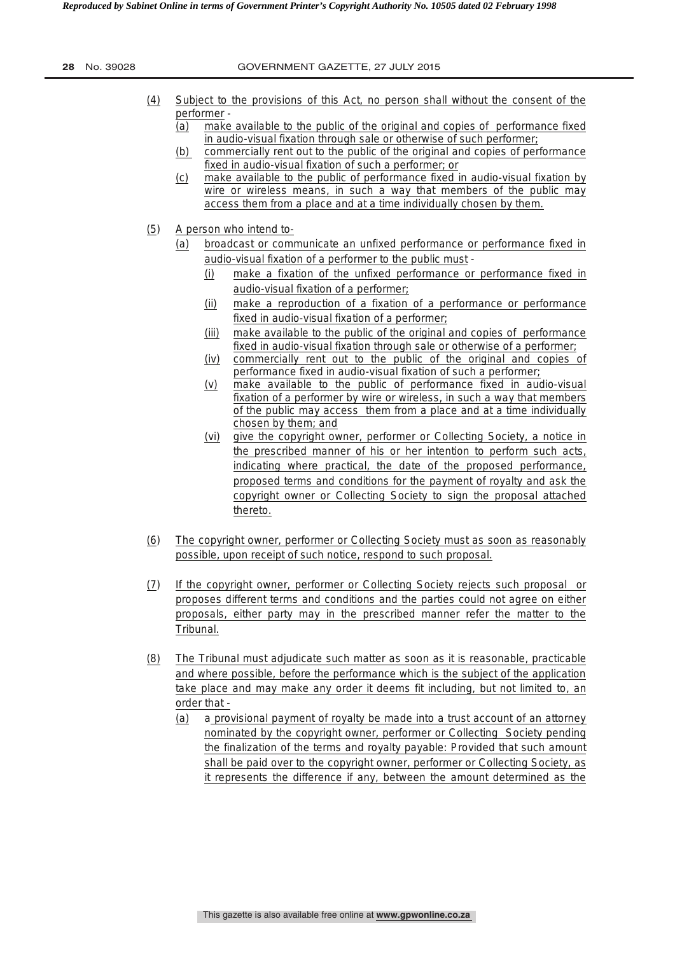| 28<br>No. 39028 |  |
|-----------------|--|
|-----------------|--|

- (4) Subject to the provisions of this Act, no person shall without the consent of the performer -
	- (a) make available to the public of the original and copies of performance fixed in audio-visual fixation through sale or otherwise of such performer;
	- (b) commercially rent out to the public of the original and copies of performance fixed in audio-visual fixation of such a performer; or
	- (c) make available to the public of performance fixed in audio-visual fixation by wire or wireless means, in such a way that members of the public may access them from a place and at a time individually chosen by them.
- (5) A person who intend to-
	- (a) broadcast or communicate an unfixed performance or performance fixed in audio-visual fixation of a performer to the public must -
		- (i) make a fixation of the unfixed performance or performance fixed in audio-visual fixation of a performer;
		- (ii) make a reproduction of a fixation of a performance or performance fixed in audio-visual fixation of a performer;
		- (iii) make available to the public of the original and copies of performance fixed in audio-visual fixation through sale or otherwise of a performer;
		- (iv) commercially rent out to the public of the original and copies of performance fixed in audio-visual fixation of such a performer;
		- (v) make available to the public of performance fixed in audio-visual fixation of a performer by wire or wireless, in such a way that members of the public may access them from a place and at a time individually chosen by them; and
		- (vi) give the copyright owner, performer or Collecting Society, a notice in the prescribed manner of his or her intention to perform such acts, indicating where practical, the date of the proposed performance, proposed terms and conditions for the payment of royalty and ask the copyright owner or Collecting Society to sign the proposal attached thereto.
- (6) The copyright owner, performer or Collecting Society must as soon as reasonably possible, upon receipt of such notice, respond to such proposal.
- (7) If the copyright owner, performer or Collecting Society rejects such proposal or proposes different terms and conditions and the parties could not agree on either proposals, either party may in the prescribed manner refer the matter to the Tribunal.
- (8) The Tribunal must adjudicate such matter as soon as it is reasonable, practicable and where possible, before the performance which is the subject of the application take place and may make any order it deems fit including, but not limited to, an order that -
	- (a) a provisional payment of royalty be made into a trust account of an attorney nominated by the copyright owner, performer or Collecting Society pending the finalization of the terms and royalty payable: Provided that such amount shall be paid over to the copyright owner, performer or Collecting Society, as it represents the difference if any, between the amount determined as the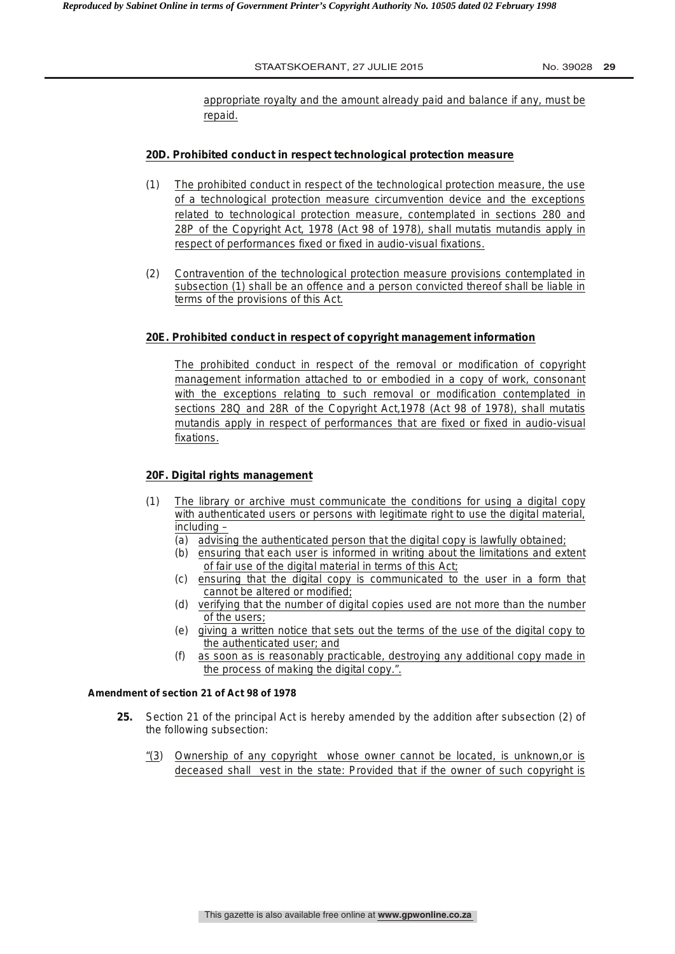appropriate royalty and the amount already paid and balance if any, must be repaid.

# **20D. Prohibited conduct in respect technological protection measure**

- (1) The prohibited conduct in respect of the technological protection measure, the use of a technological protection measure circumvention device and the exceptions related to technological protection measure, contemplated in sections 280 and 28P of the Copyright Act, 1978 (Act 98 of 1978), shall *mutatis mutandis* apply in respect of performances fixed or fixed in audio-visual fixations.
- (2) Contravention of the technological protection measure provisions contemplated in subsection (1) shall be an offence and a person convicted thereof shall be liable in terms of the provisions of this Act.

#### **20E. Prohibited conduct in respect of copyright management information**

The prohibited conduct in respect of the removal or modification of copyright management information attached to or embodied in a copy of work, consonant with the exceptions relating to such removal or modification contemplated in sections 28Q and 28R of the Copyright Act,1978 (Act 98 of 1978), shall *mutatis mutandis* apply in respect of performances that are fixed or fixed in audio-visual fixations.

# **20F. Digital rights management**

- (1) The library or archive must communicate the conditions for using a digital copy with authenticated users or persons with legitimate right to use the digital material, including –
	- (a) advising the authenticated person that the digital copy is lawfully obtained;
	- (b) ensuring that each user is informed in writing about the limitations and extent of fair use of the digital material in terms of this Act;
	- (c) ensuring that the digital copy is communicated to the user in a form that cannot be altered or modified;
	- (d) verifying that the number of digital copies used are not more than the number of the users;
	- (e) giving a written notice that sets out the terms of the use of the digital copy to the authenticated user; and
	- (f) as soon as is reasonably practicable, destroying any additional copy made in the process of making the digital copy.".

#### **Amendment of section 21 of Act 98 of 1978**

- **25.** Section 21 of the principal Act is hereby amended by the addition after subsection (2) of the following subsection:
	- "(3) Ownership of any copyright whose owner cannot be located, is unknown,or is deceased shall vest in the state: Provided that if the owner of such copyright is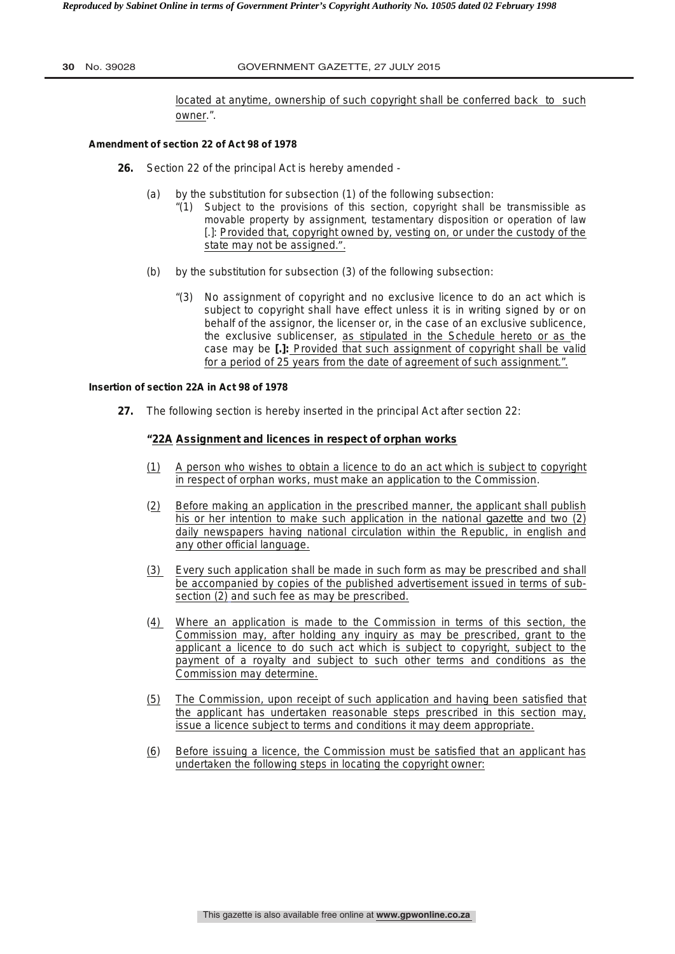#### **30** No. 39028 GOVERNMENT GAZETTE, 27 JULY 2015

located at anytime, ownership of such copyright shall be conferred back to such owner.".

#### **Amendment of section 22 of Act 98 of 1978**

- **26.** Section 22 of the principal Act is hereby amended
	- (a) by the substitution for subsection (1) of the following subsection:
		- "(1) Subject to the provisions of this section, copyright shall be transmissible as movable property by assignment, testamentary disposition or operation of law [.]: Provided that, copyright owned by, vesting on, or under the custody of the state may not be assigned.".
	- (b) by the substitution for subsection (3) of the following subsection:
		- "(3) No assignment of copyright and no exclusive licence to do an act which is subject to copyright shall have effect unless it is in writing signed by or on behalf of the assignor, the licenser or, in the case of an exclusive sublicence, the exclusive sublicenser, as stipulated in the Schedule hereto or as the case may be **[.]:** Provided that such assignment of copyright shall be valid for a period of 25 years from the date of agreement of such assignment.".

#### **Insertion of section 22A in Act 98 of 1978**

**27.** The following section is hereby inserted in the principal Act after section 22:

#### **"22A Assignment and licences in respect of orphan works**

- (1) A person who wishes to obtain a licence to do an act which is subject to copyright in respect of orphan works, must make an application to the Commission.
- (2) Before making an application in the prescribed manner, the applicant shall publish his or her intention to make such application in the national *gazette* and two (2) daily newspapers having national circulation within the Republic, in english and any other official language.
- (3) Every such application shall be made in such form as may be prescribed and shall be accompanied by copies of the published advertisement issued in terms of subsection (2) and such fee as may be prescribed.
- (4) Where an application is made to the Commission in terms of this section, the Commission may, after holding any inquiry as may be prescribed, grant to the applicant a licence to do such act which is subject to copyright, subject to the payment of a royalty and subject to such other terms and conditions as the Commission may determine.
- (5) The Commission, upon receipt of such application and having been satisfied that the applicant has undertaken reasonable steps prescribed in this section may, issue a licence subject to terms and conditions it may deem appropriate.
- (6) Before issuing a licence, the Commission must be satisfied that an applicant has undertaken the following steps in locating the copyright owner: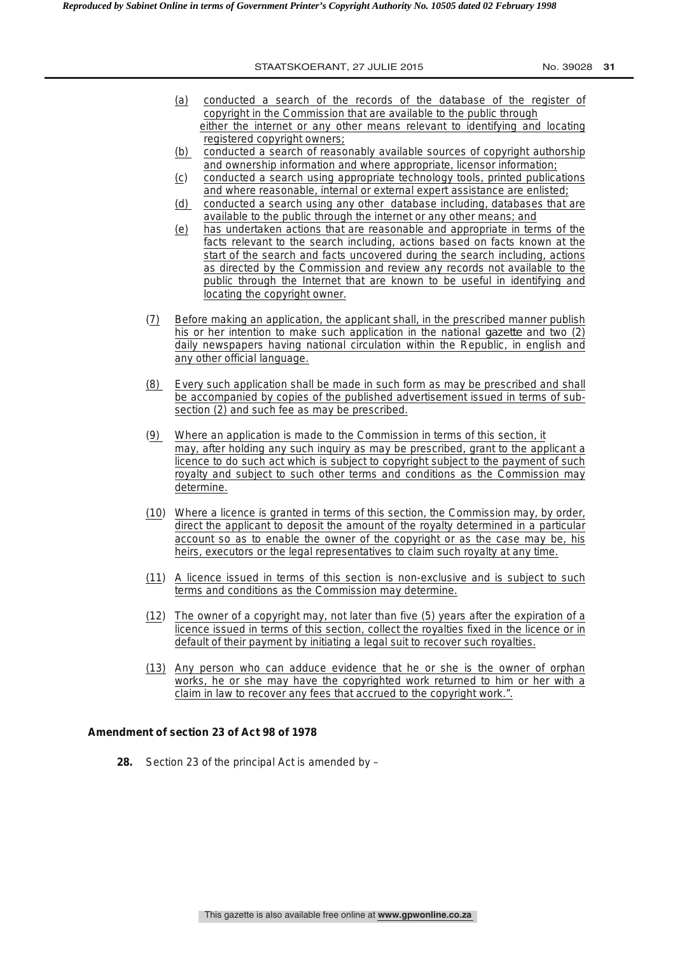- (a) conducted a search of the records of the database of the register of copyright in the Commission that are available to the public through either the internet or any other means relevant to identifying and locating registered copyright owners;
- (b) conducted a search of reasonably available sources of copyright authorship and ownership information and where appropriate, licensor information;
- (c) conducted a search using appropriate technology tools, printed publications and where reasonable, internal or external expert assistance are enlisted;
- (d) conducted a search using any other database including, databases that are available to the public through the internet or any other means; and
- (e) has undertaken actions that are reasonable and appropriate in terms of the facts relevant to the search including, actions based on facts known at the start of the search and facts uncovered during the search including, actions as directed by the Commission and review any records not available to the public through the Internet that are known to be useful in identifying and locating the copyright owner.
- (7) Before making an application, the applicant shall, in the prescribed manner publish his or her intention to make such application in the national *gazette* and two (2) daily newspapers having national circulation within the Republic, in english and any other official language.
- (8) Every such application shall be made in such form as may be prescribed and shall be accompanied by copies of the published advertisement issued in terms of subsection (2) and such fee as may be prescribed.
- (9) Where an application is made to the Commission in terms of this section, it may, after holding any such inquiry as may be prescribed, grant to the applicant a licence to do such act which is subject to copyright subject to the payment of such royalty and subject to such other terms and conditions as the Commission may determine.
- (10) Where a licence is granted in terms of this section, the Commission may, by order, direct the applicant to deposit the amount of the royalty determined in a particular account so as to enable the owner of the copyright or as the case may be, his heirs, executors or the legal representatives to claim such royalty at any time.
- (11) A licence issued in terms of this section is non-exclusive and is subject to such terms and conditions as the Commission may determine.
- (12) The owner of a copyright may, not later than five (5) years after the expiration of a licence issued in terms of this section, collect the royalties fixed in the licence or in default of their payment by initiating a legal suit to recover such royalties.
- (13) Any person who can adduce evidence that he or she is the owner of orphan works, he or she may have the copyrighted work returned to him or her with a claim in law to recover any fees that accrued to the copyright work.".

## **Amendment of section 23 of Act 98 of 1978**

**28.** Section 23 of the principal Act is amended by –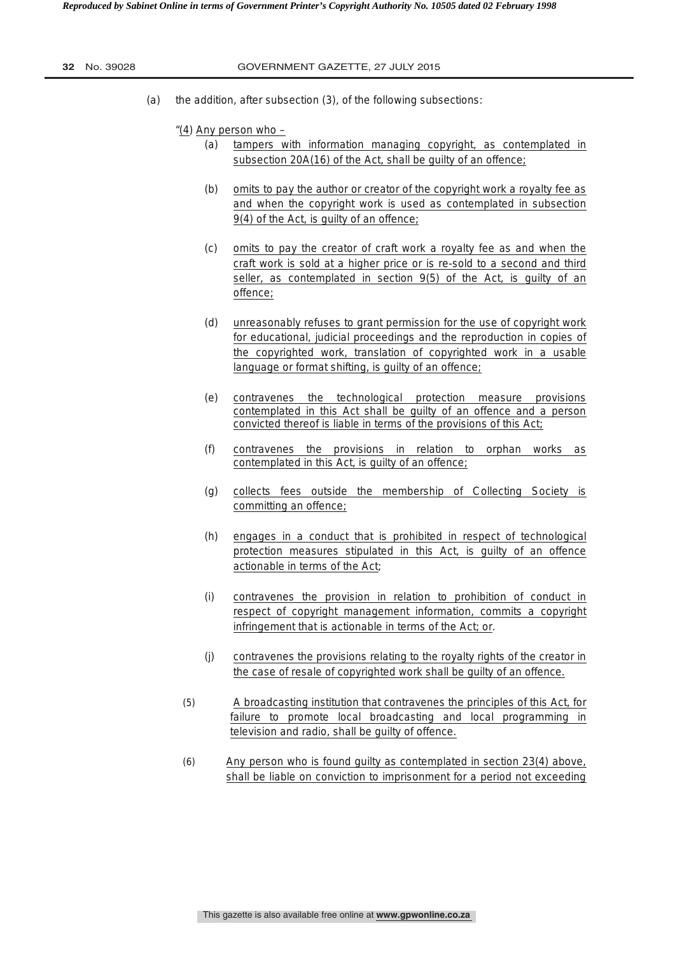(a) the addition, after subsection (3), of the following subsections:

"(4) Any person who –

- (a) tampers with information managing copyright, as contemplated in subsection 20A(16) of the Act, shall be guilty of an offence;
- (b) omits to pay the author or creator of the copyright work a royalty fee as and when the copyright work is used as contemplated in subsection 9(4) of the Act, is guilty of an offence;
- (c) omits to pay the creator of craft work a royalty fee as and when the craft work is sold at a higher price or is re-sold to a second and third seller, as contemplated in section 9(5) of the Act, is guilty of an offence;
- (d) unreasonably refuses to grant permission for the use of copyright work for educational, judicial proceedings and the reproduction in copies of the copyrighted work, translation of copyrighted work in a usable language or format shifting, is guilty of an offence;
- (e) contravenes the technological protection measure provisions contemplated in this Act shall be guilty of an offence and a person convicted thereof is liable in terms of the provisions of this Act;
- (f) contravenes the provisions in relation to orphan works as contemplated in this Act, is guilty of an offence;
- (g) collects fees outside the membership of Collecting Society is committing an offence;
- (h) engages in a conduct that is prohibited in respect of technological protection measures stipulated in this Act, is guilty of an offence actionable in terms of the Act;
- (i) contravenes the provision in relation to prohibition of conduct in respect of copyright management information, commits a copyright infringement that is actionable in terms of the Act; or.
- (j) contravenes the provisions relating to the royalty rights of the creator in the case of resale of copyrighted work shall be guilty of an offence.
- (5) A broadcasting institution that contravenes the principles of this Act, for failure to promote local broadcasting and local programming in television and radio, shall be guilty of offence.
- (6) Any person who is found guilty as contemplated in section 23(4) above, shall be liable on conviction to imprisonment for a period not exceeding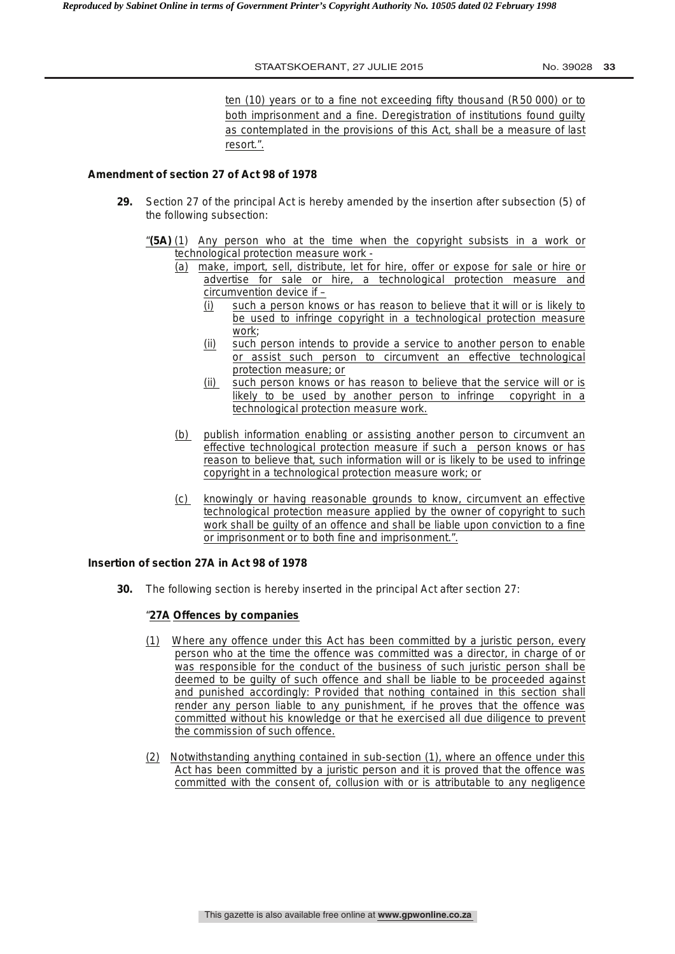ten (10) years or to a fine not exceeding fifty thousand (R50 000) or to both imprisonment and a fine. Deregistration of institutions found guilty as contemplated in the provisions of this Act, shall be a measure of last resort.".

## **Amendment of section 27 of Act 98 of 1978**

- **29.** Section 27 of the principal Act is hereby amended by the insertion after subsection (5) of the following subsection:
	- "**(5A)** (1) Any person who at the time when the copyright subsists in a work or technological protection measure work -
		- (a) make, import, sell, distribute, let for hire, offer or expose for sale or hire or advertise for sale or hire, a technological protection measure and circumvention device if –
			- (i) such a person knows or has reason to believe that it will or is likely to be used to infringe copyright in a technological protection measure work;
			- (ii) such person intends to provide a service to another person to enable or assist such person to circumvent an effective technological protection measure; or
			- (ii) such person knows or has reason to believe that the service will or is likely to be used by another person to infringe copyright in a technological protection measure work.
		- (b) publish information enabling or assisting another person to circumvent an effective technological protection measure if such a person knows or has reason to believe that, such information will or is likely to be used to infringe copyright in a technological protection measure work; or
		- (c) knowingly or having reasonable grounds to know, circumvent an effective technological protection measure applied by the owner of copyright to such work shall be guilty of an offence and shall be liable upon conviction to a fine or imprisonment or to both fine and imprisonment.".

## **Insertion of section 27A in Act 98 of 1978**

**30.** The following section is hereby inserted in the principal Act after section 27:

# "**27A Offences by companies**

- (1) Where any offence under this Act has been committed by a juristic person, every person who at the time the offence was committed was a director, in charge of or was responsible for the conduct of the business of such juristic person shall be deemed to be guilty of such offence and shall be liable to be proceeded against and punished accordingly: Provided that nothing contained in this section shall render any person liable to any punishment, if he proves that the offence was committed without his knowledge or that he exercised all due diligence to prevent the commission of such offence.
- (2) Notwithstanding anything contained in sub-section (1), where an offence under this Act has been committed by a juristic person and it is proved that the offence was committed with the consent of, collusion with or is attributable to any negligence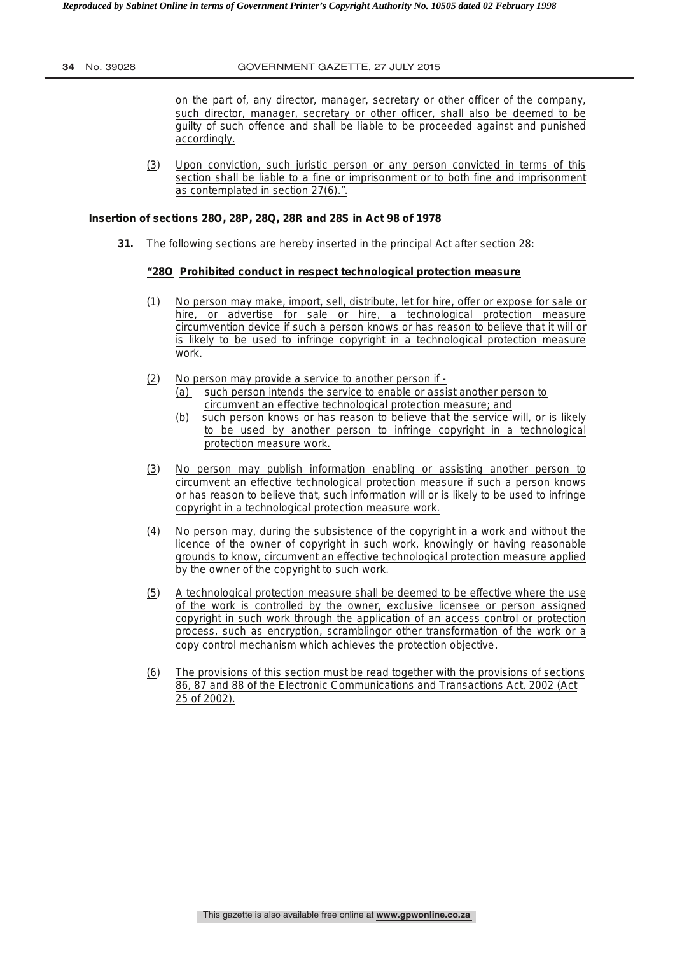on the part of, any director, manager, secretary or other officer of the company, such director, manager, secretary or other officer, shall also be deemed to be guilty of such offence and shall be liable to be proceeded against and punished accordingly.

(3) Upon conviction, such juristic person or any person convicted in terms of this section shall be liable to a fine or imprisonment or to both fine and imprisonment as contemplated in section 27(6).".

# **Insertion of sections 28O, 28P, 28Q, 28R and 28S in Act 98 of 1978**

**31.** The following sections are hereby inserted in the principal Act after section 28:

# **"28O Prohibited conduct in respect technological protection measure**

- (1) No person may make, import, sell, distribute, let for hire, offer or expose for sale or hire, or advertise for sale or hire, a technological protection measure circumvention device if such a person knows or has reason to believe that it will or is likely to be used to infringe copyright in a technological protection measure work.
- (2) No person may provide a service to another person if
	- (a) such person intends the service to enable or assist another person to circumvent an effective technological protection measure; and
	- (b) such person knows or has reason to believe that the service will, or is likely to be used by another person to infringe copyright in a technological protection measure work.
- (3) No person may publish information enabling or assisting another person to circumvent an effective technological protection measure if such a person knows or has reason to believe that, such information will or is likely to be used to infringe copyright in a technological protection measure work.
- (4) No person may, during the subsistence of the copyright in a work and without the licence of the owner of copyright in such work, knowingly or having reasonable grounds to know, circumvent an effective technological protection measure applied by the owner of the copyright to such work.
- (5) A technological protection measure shall be deemed to be effective where the use of the work is controlled by the owner, exclusive licensee or person assigned copyright in such work through the application of an access control or protection process, such as encryption, scramblingor other transformation of the work or a copy control mechanism which achieves the protection objective.
- (6) The provisions of this section must be read together with the provisions of sections 86, 87 and 88 of the Electronic Communications and Transactions Act, 2002 (Act 25 of 2002).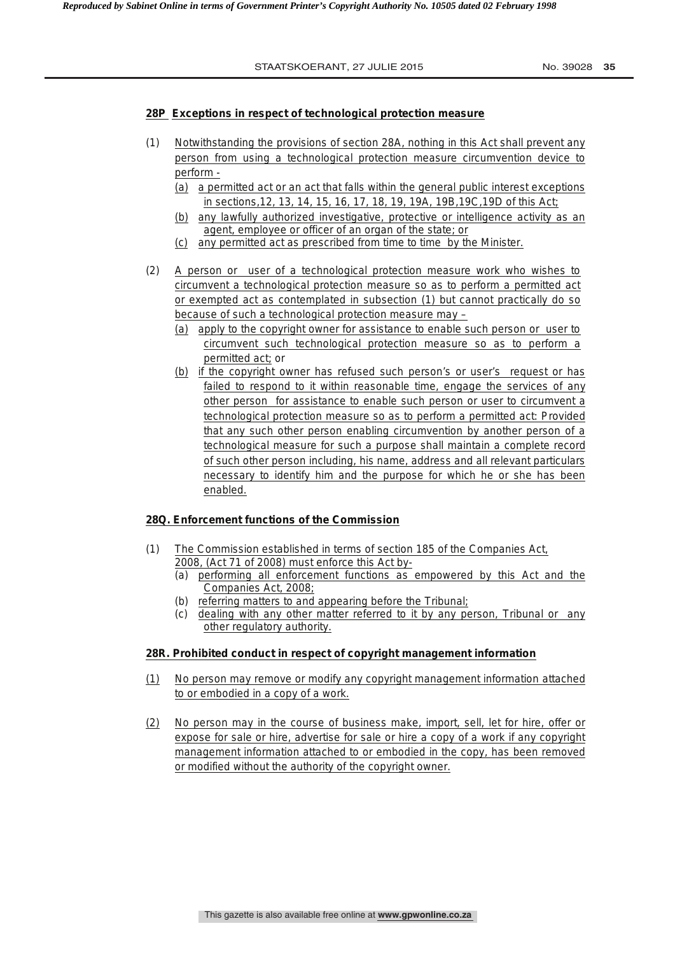# **28P Exceptions in respect of technological protection measure**

- (1)Notwithstanding the provisions of section 28A, nothing in this Act shall prevent any person from using a technological protection measure circumvention device to perform -
	- (a) a permitted act or an act that falls within the general public interest exceptions in sections,12, 13, 14, 15, 16, 17, 18, 19, 19A, 19B,19C,19D of this Act;
	- (b) any lawfully authorized investigative, protective or intelligence activity as an agent, employee or officer of an organ of the state; or
	- (c) any permitted act as prescribed from time to time by the Minister.
- (2) A person or user of a technological protection measure work who wishes to circumvent a technological protection measure so as to perform a permitted act or exempted act as contemplated in subsection (1) but cannot practically do so because of such a technological protection measure may –
	- (a) apply to the copyright owner for assistance to enable such person or user to circumvent such technological protection measure so as to perform a permitted act; or
	- (b) if the copyright owner has refused such person's or user's request or has failed to respond to it within reasonable time, engage the services of any other person for assistance to enable such person or user to circumvent a technological protection measure so as to perform a permitted act: Provided that any such other person enabling circumvention by another person of a technological measure for such a purpose shall maintain a complete record of such other person including, his name, address and all relevant particulars necessary to identify him and the purpose for which he or she has been enabled.

# **28Q. Enforcement functions of the Commission**

- (1) The Commission established in terms of section 185 of the Companies Act, 2008, (Act 71 of 2008) must enforce this Act by-
	- (a) performing all enforcement functions as empowered by this Act and the Companies Act, 2008;
	- (b) referring matters to and appearing before the Tribunal;
	- (c) dealing with any other matter referred to it by any person, Tribunal or any other regulatory authority.

# **28R. Prohibited conduct in respect of copyright management information**

- (1) No person may remove or modify any copyright management information attached to or embodied in a copy of a work.
- (2) No person may in the course of business make, import, sell, let for hire, offer or expose for sale or hire, advertise for sale or hire a copy of a work if any copyright management information attached to or embodied in the copy, has been removed or modified without the authority of the copyright owner.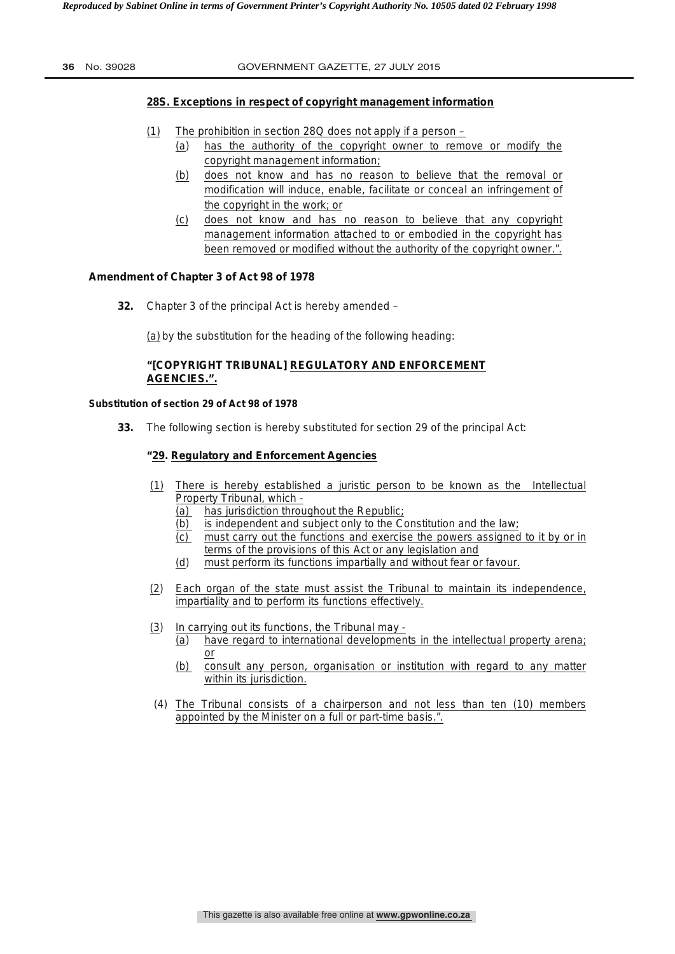# **28S. Exceptions in respect of copyright management information**

- (1) The prohibition in section 28Q does not apply if a person
	- (a) has the authority of the copyright owner to remove or modify the copyright management information;
	- (b) does not know and has no reason to believe that the removal or modification will induce, enable, facilitate or conceal an infringement of the copyright in the work; or
	- (c) does not know and has no reason to believe that any copyright management information attached to or embodied in the copyright has been removed or modified without the authority of the copyright owner.".

## **Amendment of Chapter 3 of Act 98 of 1978**

**32.** Chapter 3 of the principal Act is hereby amended –

(a) by the substitution for the heading of the following heading:

# **"[COPYRIGHT TRIBUNAL] REGULATORY AND ENFORCEMENT AGENCIES.".**

#### **Substitution of section 29 of Act 98 of 1978**

**33.** The following section is hereby substituted for section 29 of the principal Act:

## **"29. Regulatory and Enforcement Agencies**

- (1)There is hereby established a juristic person to be known as the Intellectual Property Tribunal, which -
	- (a) has jurisdiction throughout the Republic;
	- (b) is independent and subject only to the Constitution and the law;
	- (c) must carry out the functions and exercise the powers assigned to it by or in terms of the provisions of this Act or any legislation and
	- (d) must perform its functions impartially and without fear or favour.
- (2) Each organ of the state must assist the Tribunal to maintain its independence, impartiality and to perform its functions effectively.
- (3) In carrying out its functions, the Tribunal may
	- (a) have regard to international developments in the intellectual property arena; or
	- (b) consult any person, organisation or institution with regard to any matter within its jurisdiction.
- (4) The Tribunal consists of a chairperson and not less than ten (10) members appointed by the Minister on a full or part-time basis.".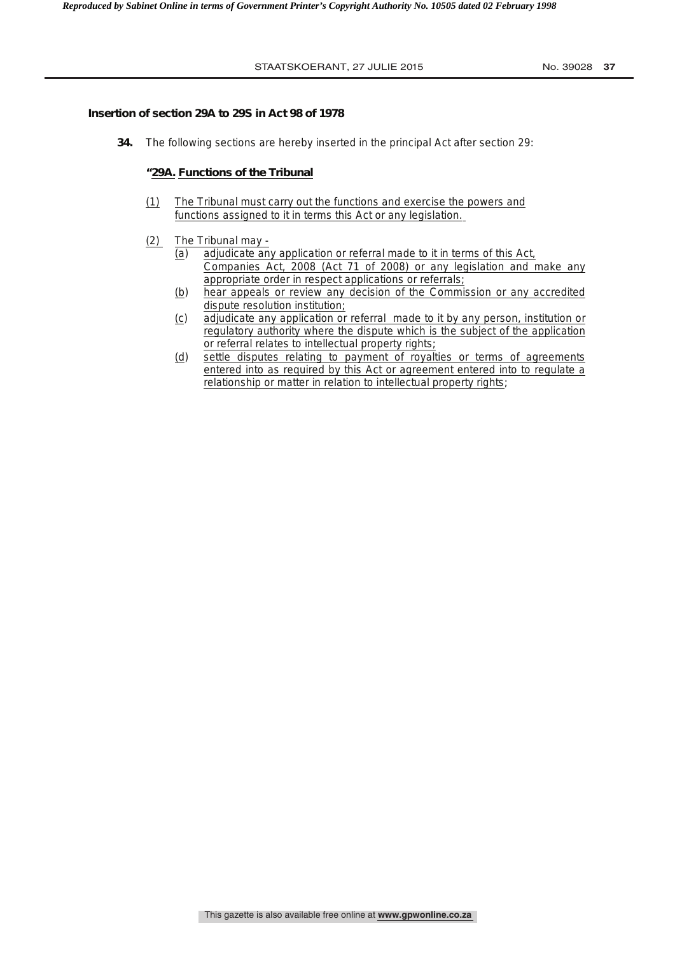#### **Insertion of section 29A to 29S in Act 98 of 1978**

**34.** The following sections are hereby inserted in the principal Act after section 29:

#### **"29A. Functions of the Tribunal**

- (1)The Tribunal must carry out the functions and exercise the powers and functions assigned to it in terms this Act or any legislation.
- (2) The Tribunal may
	- (a) adjudicate any application or referral made to it in terms of this Act, Companies Act, 2008 (Act 71 of 2008) or any legislation and make any appropriate order in respect applications or referrals;
	- (b) hear appeals or review any decision of the Commission or any accredited dispute resolution institution;
	- (c) adjudicate any application or referral made to it by any person, institution or regulatory authority where the dispute which is the subject of the application or referral relates to intellectual property rights;
	- (d) settle disputes relating to payment of royalties or terms of agreements entered into as required by this Act or agreement entered into to regulate a relationship or matter in relation to intellectual property rights;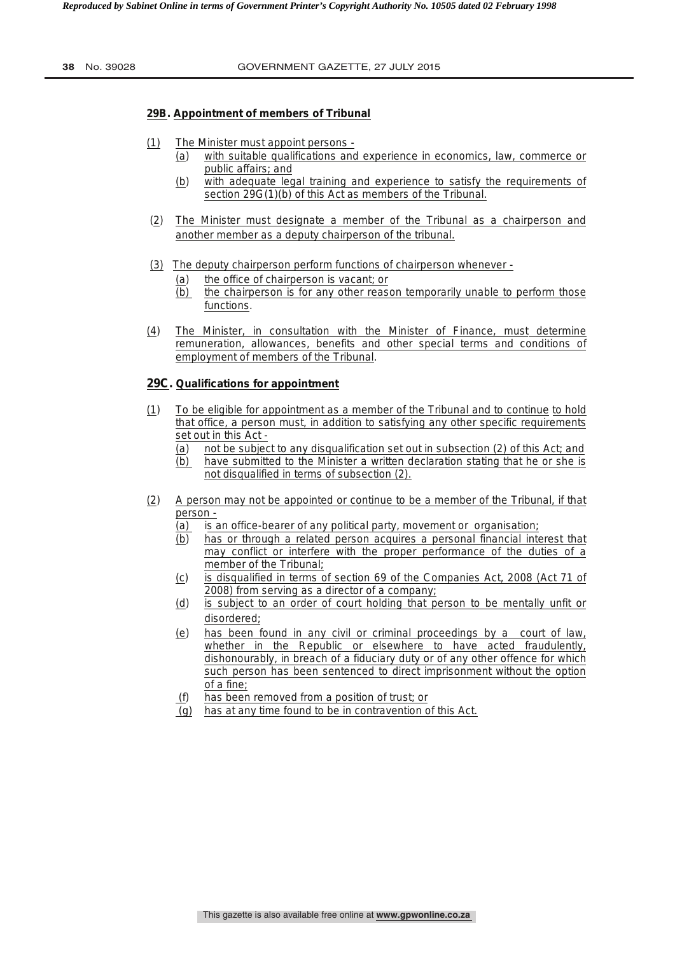#### **29B. Appointment of members of Tribunal**

- (1)The Minister must appoint persons
	- (a) with suitable qualifications and experience in economics, law, commerce or public affairs; and
	- (b) with adequate legal training and experience to satisfy the requirements of section 29G(1)(b) of this Act as members of the Tribunal.
- (2) The Minister must designate a member of the Tribunal as a chairperson and another member as a deputy chairperson of the tribunal.
- (3) The deputy chairperson perform functions of chairperson whenever
	- (a) the office of chairperson is vacant; or
	- (b) the chairperson is for any other reason temporarily unable to perform those functions.
- (4) The Minister, in consultation with the Minister of Finance, must determine remuneration, allowances, benefits and other special terms and conditions of employment of members of the Tribunal.

# **29C. Qualifications for appointment**

- (1) To be eligible for appointment as a member of the Tribunal and to continue to hold that office, a person must, in addition to satisfying any other specific requirements set out in this Act -
	- (a) not be subject to any disqualification set out in subsection (2) of this Act; and
	- (b) have submitted to the Minister a written declaration stating that he or she is not disqualified in terms of subsection (2).
- (2) A person may not be appointed or continue to be a member of the Tribunal, if that person -
	- (a) is an office-bearer of any political party, movement or organisation;
	- (b) has or through a related person acquires a personal financial interest that may conflict or interfere with the proper performance of the duties of a member of the Tribunal;
	- (c) is disqualified in terms of section 69 of the Companies Act, 2008 (Act 71 of 2008) from serving as a director of a company;
	- (d) is subject to an order of court holding that person to be mentally unfit or disordered;
	- (e) has been found in any civil or criminal proceedings by a court of law, whether in the Republic or elsewhere to have acted fraudulently, dishonourably, in breach of a fiduciary duty or of any other offence for which such person has been sentenced to direct imprisonment without the option of a fine;
	- (f) has been removed from a position of trust; or
	- (g) has at any time found to be in contravention of this Act.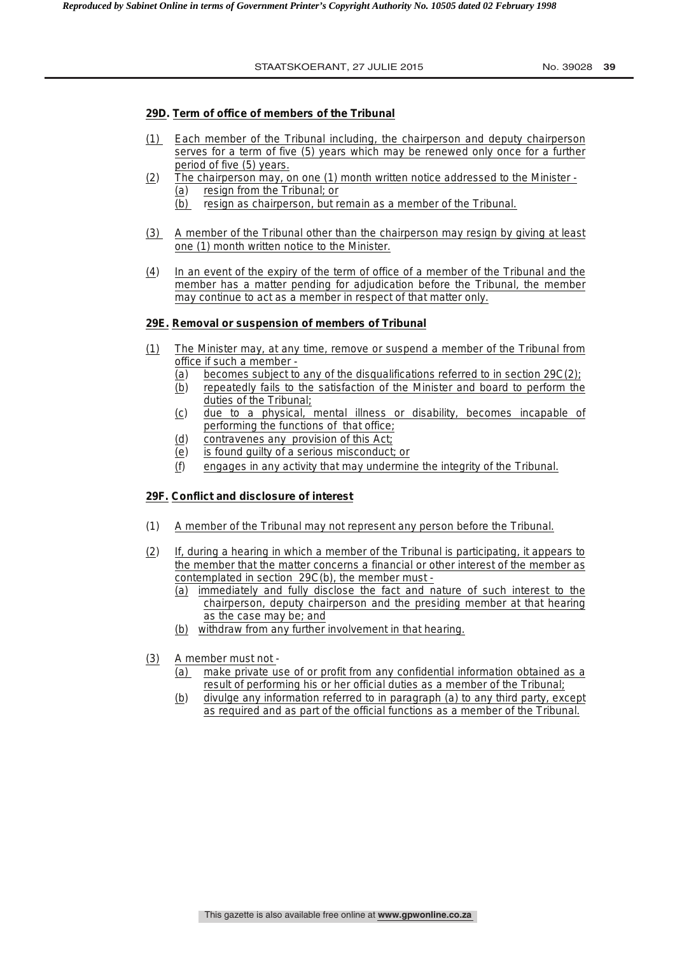#### **29D. Term of office of members of the Tribunal**

- (1) Each member of the Tribunal including, the chairperson and deputy chairperson serves for a term of five (5) years which may be renewed only once for a further period of five (5) years.
- (2) The chairperson may, on one (1) month written notice addressed to the Minister (a) resign from the Tribunal; or
	- (b) resign as chairperson, but remain as a member of the Tribunal.
- (3) A member of the Tribunal other than the chairperson may resign by giving at least one (1) month written notice to the Minister.
- (4) In an event of the expiry of the term of office of a member of the Tribunal and the member has a matter pending for adjudication before the Tribunal, the member may continue to act as a member in respect of that matter only.

#### **29E. Removal or suspension of members of Tribunal**

- (1) The Minister may, at any time, remove or suspend a member of the Tribunal from office if such a member -
	- (a) becomes subject to any of the disqualifications referred to in section 29C(2);
	- (b) repeatedly fails to the satisfaction of the Minister and board to perform the duties of the Tribunal;
	- (c) due to a physical, mental illness or disability, becomes incapable of performing the functions of that office;
	- (d) contravenes any provision of this Act;
	- (e) is found guilty of a serious misconduct; or
	- (f) engages in any activity that may undermine the integrity of the Tribunal.

#### **29F. Conflict and disclosure of interest**

- (1) A member of the Tribunal may not represent any person before the Tribunal.
- (2) If, during a hearing in which a member of the Tribunal is participating, it appears to the member that the matter concerns a financial or other interest of the member as contemplated in section 29C(b), the member must -
	- (a) immediately and fully disclose the fact and nature of such interest to the chairperson, deputy chairperson and the presiding member at that hearing as the case may be; and
	- (b) withdraw from any further involvement in that hearing.
- (3) A member must not
	- (a) make private use of or profit from any confidential information obtained as a result of performing his or her official duties as a member of the Tribunal;
	- (b) divulge any information referred to in paragraph (a) to any third party, except as required and as part of the official functions as a member of the Tribunal.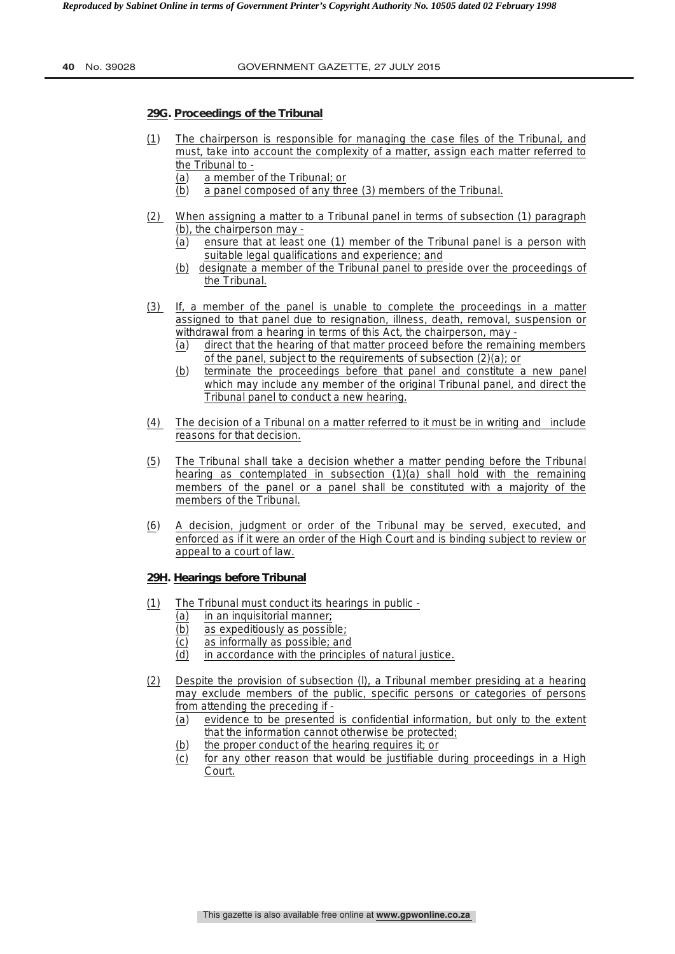#### **29G. Proceedings of the Tribunal**

- (1) The chairperson is responsible for managing the case files of the Tribunal, and must, take into account the complexity of a matter, assign each matter referred to the Tribunal to -
	- (a) a member of the Tribunal; or
	- (b) a panel composed of any three (3) members of the Tribunal.
- (2) When assigning a matter to a Tribunal panel in terms of subsection (1) paragraph (b), the chairperson may -
	- (a) ensure that at least one (1) member of the Tribunal panel is a person with suitable legal qualifications and experience; and
	- (b) designate a member of the Tribunal panel to preside over the proceedings of the Tribunal.
- (3) If, a member of the panel is unable to complete the proceedings in a matter assigned to that panel due to resignation, illness, death, removal, suspension or withdrawal from a hearing in terms of this Act, the chairperson, may -
	- (a) direct that the hearing of that matter proceed before the remaining members of the panel, subject to the requirements of subsection (2)(a); or
	- (b) terminate the proceedings before that panel and constitute a new panel which may include any member of the original Tribunal panel, and direct the Tribunal panel to conduct a new hearing.
- (4) The decision of a Tribunal on a matter referred to it must be in writing and include reasons for that decision.
- (5) The Tribunal shall take a decision whether a matter pending before the Tribunal hearing as contemplated in subsection (1)(a) shall hold with the remaining members of the panel or a panel shall be constituted with a majority of the members of the Tribunal.
- (6) A decision, judgment or order of the Tribunal may be served, executed, and enforced as if it were an order of the High Court and is binding subject to review or appeal to a court of law.

# **29H. Hearings before Tribunal**

- (1) The Tribunal must conduct its hearings in public
	- (a) in an inquisitorial manner;
	- (b)as expeditiously as possible;
	- (c)as informally as possible; and
	- (d) in accordance with the principles of natural justice.
- (2) Despite the provision of subsection (l), a Tribunal member presiding at a hearing may exclude members of the public, specific persons or categories of persons from attending the preceding if -
	- (a) evidence to be presented is confidential information, but only to the extent that the information cannot otherwise be protected;
	- (b) the proper conduct of the hearing requires it; or
	- (c)for any other reason that would be justifiable during proceedings in a High Court.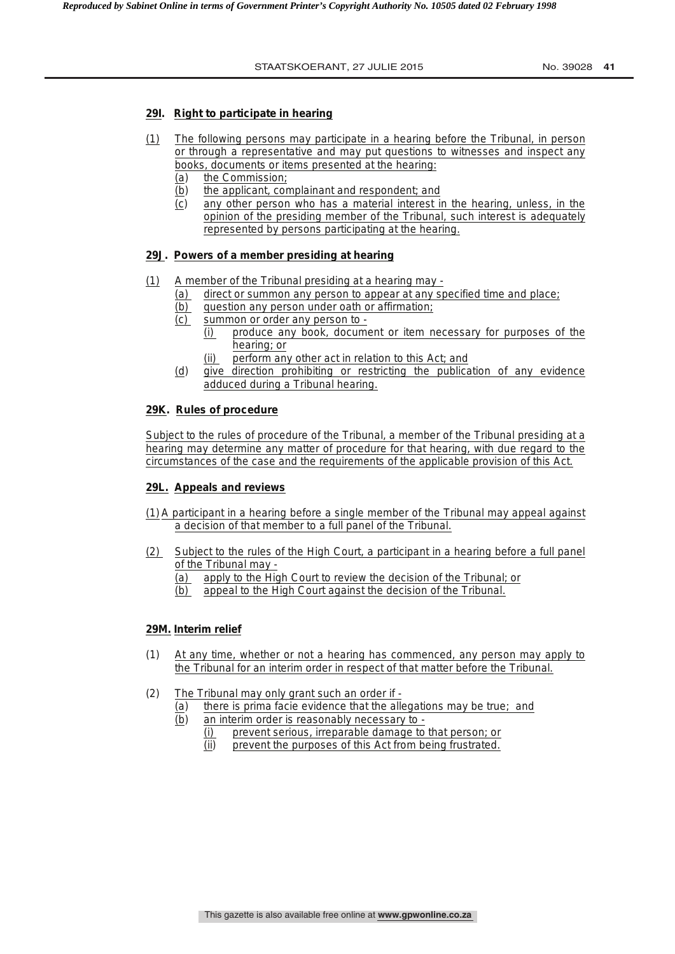#### **29I. Right to participate in hearing**

- (1) The following persons may participate in a hearing before the Tribunal, in person or through a representative and may put questions to witnesses and inspect any books, documents or items presented at the hearing:
	- (a) the Commission;
	- (b)the applicant, complainant and respondent; and
	- (c)any other person who has a material interest in the hearing, unless, in the opinion of the presiding member of the Tribunal, such interest is adequately represented by persons participating at the hearing.

# **29J. Powers of a member presiding at hearing**

- (1) A member of the Tribunal presiding at a hearing may
	- (a) direct or summon any person to appear at any specified time and place;
	- (b) question any person under oath or affirmation;
	- (c) summon or order any person to
		- (i) produce any book, document or item necessary for purposes of the hearing; or
		- perform any other act in relation to this Act; and
	- (d)give direction prohibiting or restricting the publication of any evidence adduced during a Tribunal hearing.

#### **29K. Rules of procedure**

Subject to the rules of procedure of the Tribunal, a member of the Tribunal presiding at a hearing may determine any matter of procedure for that hearing, with due regard to the circumstances of the case and the requirements of the applicable provision of this Act.

#### **29L. Appeals and reviews**

- (1) A participant in a hearing before a single member of the Tribunal may appeal against a decision of that member to a full panel of the Tribunal.
- (2) Subject to the rules of the High Court, a participant in a hearing before a full panel of the Tribunal may -
	- (a) apply to the High Court to review the decision of the Tribunal; or
	- (b) appeal to the High Court against the decision of the Tribunal.

#### **29M. Interim relief**

- (1) At any time, whether or not a hearing has commenced, any person may apply to the Tribunal for an interim order in respect of that matter before the Tribunal.
- (2) The Tribunal may only grant such an order if
	- (a)there is *prima facie* evidence that the allegations may be true; and (b*)* an interim order is reasonably necessary to -
		- (i) prevent serious, irreparable damage to that person; or
		- (ii) prevent the purposes of this Act from being frustrated.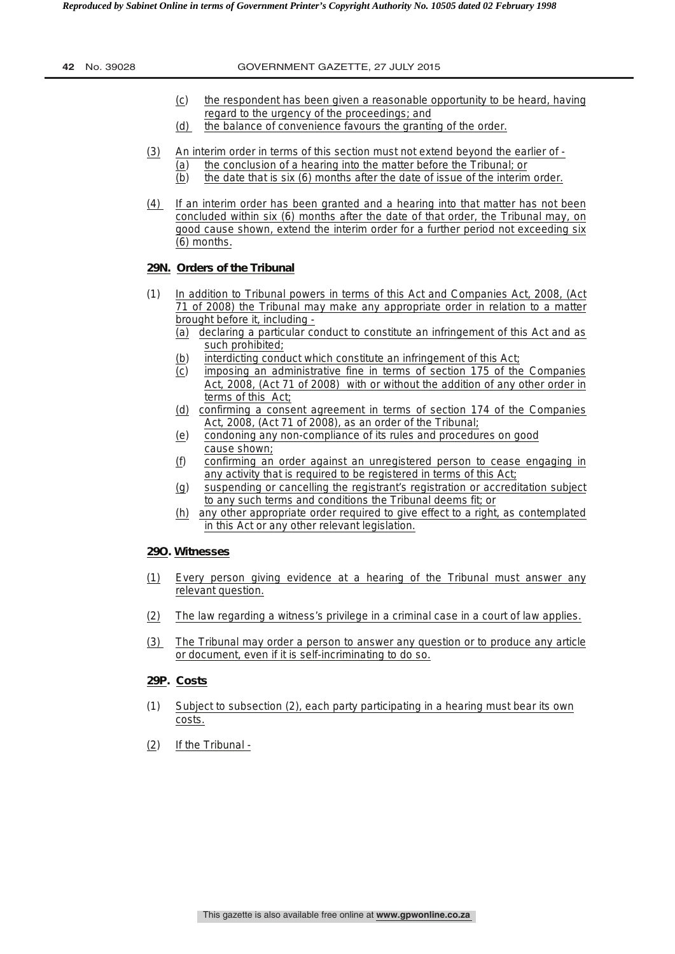- (c) the respondent has been given a reasonable opportunity to be heard, having regard to the urgency of the proceedings; and
- (d) the balance of convenience favours the granting of the order.
- (3)An interim order in terms of this section must not extend beyond the earlier of
	- (a)the conclusion of a hearing into the matter before the Tribunal; or
	- (b)the date that is six (6) months after the date of issue of the interim order.
- (4) If an interim order has been granted and a hearing into that matter has not been concluded within six (6) months after the date of that order, the Tribunal may, on good cause shown, extend the interim order for a further period not exceeding six (6) months.

# **29N. Orders of the Tribunal**

- (1) In addition to Tribunal powers in terms of this Act and Companies Act, 2008, (Act 71 of 2008) the Tribunal may make any appropriate order in relation to a matter brought before it, including -
	- (a) declaring a particular conduct to constitute an infringement of this Act and as such prohibited;
	- (b)interdicting conduct which constitute an infringement of this Act;
	- (c)imposing an administrative fine in terms of section 175 of the Companies Act, 2008, (Act 71 of 2008) with or without the addition of any other order in terms of this Act;
	- (d) confirming a consent agreement in terms of section 174 of the Companies Act, 2008, (Act 71 of 2008), as an order of the Tribunal;
	- (e)condoning any non-compliance of its rules and procedures on good cause shown;
	- (f) confirming an order against an unregistered person to cease engaging in any activity that is required to be registered in terms of this Act;
	- (g)suspending or cancelling the registrant's registration or accreditation subject to any such terms and conditions the Tribunal deems fit; or
	- (h) any other appropriate order required to give effect to a right, as contemplated in this Act or any other relevant legislation.

#### **29O. Witnesses**

- (1) Every person giving evidence at a hearing of the Tribunal must answer any relevant question.
- (2) The law regarding a witness's privilege in a criminal case in a court of law applies.
- (3) The Tribunal may order a person to answer any question or to produce any article or document, even if it is self-incriminating to do so.

#### **29P. Costs**

- (1) Subject to subsection (2), each party participating in a hearing must bear its own costs.
- (2) If the Tribunal -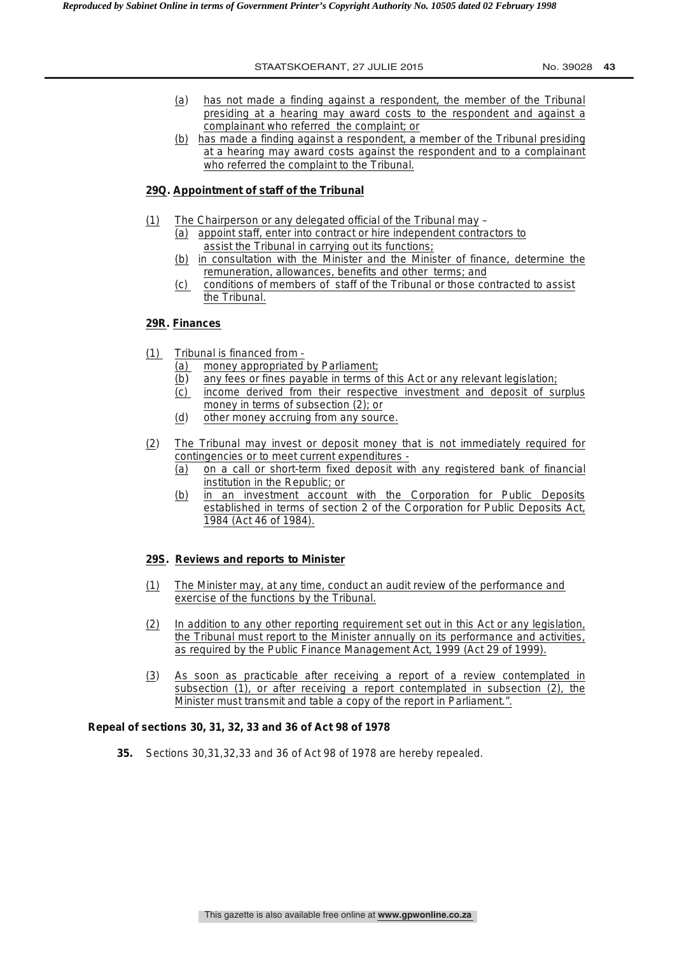- (a) has not made a finding against a respondent, the member of the Tribunal presiding at a hearing may award costs to the respondent and against a complainant who referred the complaint; or
- (b) has made a finding against a respondent, a member of the Tribunal presiding at a hearing may award costs against the respondent and to a complainant who referred the complaint to the Tribunal.

# **29Q. Appointment of staff of the Tribunal**

- (1) The Chairperson or any delegated official of the Tribunal may (a) appoint staff, enter into contract or hire independent contractors to
	- assist the Tribunal in carrying out its functions; (b) in consultation with the Minister and the Minister of finance, determine the remuneration, allowances, benefits and other terms; and
	- (c) conditions of members of staff of the Tribunal or those contracted to assist the Tribunal.

#### **29R. Finances**

- (1) Tribunal is financed from
	- (a)money appropriated by Parliament;
	- (b*)* any fees or fines payable in terms of this Act or any relevant legislation;
	- (c)income derived from their respective investment and deposit of surplus money in terms of subsection (2); or
	- (d)other money accruing from any source.
- (2)The Tribunal may invest or deposit money that is not immediately required for contingencies or to meet current expenditures -
	- (a) on a call or short-term fixed deposit with any registered bank of financial institution in the Republic; or
	- (b) in an investment account with the Corporation for Public Deposits established in terms of section 2 of the Corporation for Public Deposits Act, 1984 (Act 46 of 1984).

#### **29S. Reviews and reports to Minister**

- (1) The Minister may, at any time, conduct an audit review of the performance and exercise of the functions by the Tribunal.
- (2) In addition to any other reporting requirement set out in this Act or any legislation, the Tribunal must report to the Minister annually on its performance and activities, as required by the Public Finance Management Act, 1999 (Act 29 of 1999).
- (3) As soon as practicable after receiving a report of a review contemplated in subsection (1), or after receiving a report contemplated in subsection (2), the Minister must transmit and table a copy of the report in Parliament.".

#### **Repeal of sections 30, 31, 32, 33 and 36 of Act 98 of 1978**

**35.** Sections 30,31,32,33 and 36 of Act 98 of 1978 are hereby repealed.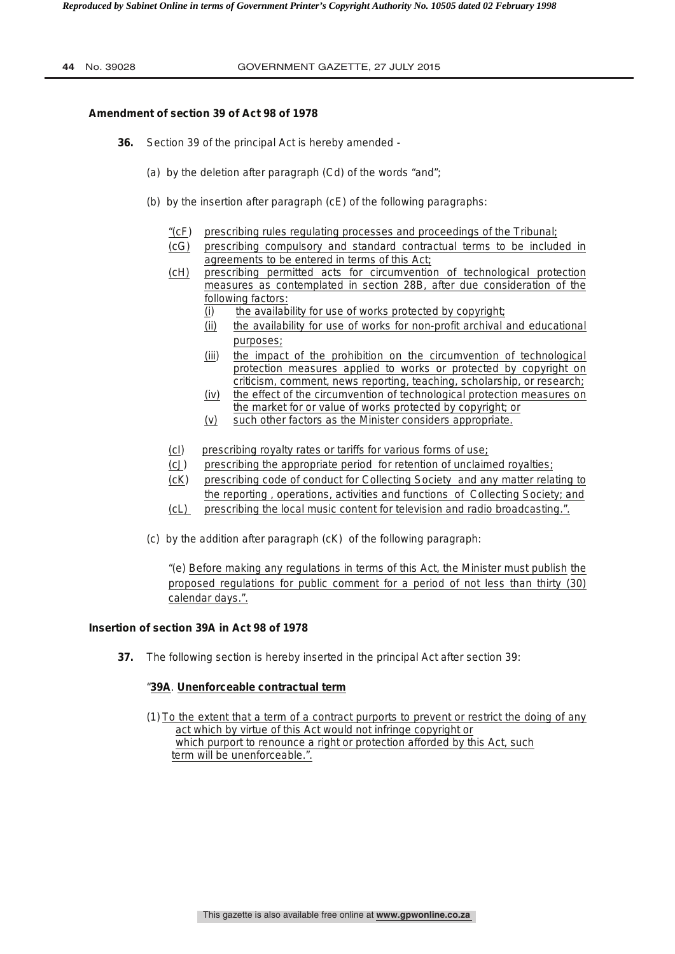## **Amendment of section 39 of Act 98 of 1978**

- **36.** Section 39 of the principal Act is hereby amended
	- (a) by the deletion after paragraph (Cd) of the words "and";
	- (b) by the insertion after paragraph (cE) of the following paragraphs:
		- "(cF) prescribing rules regulating processes and proceedings of the Tribunal;
		- (cG) prescribing compulsory and standard contractual terms to be included in agreements to be entered in terms of this Act;
		- (cH) prescribing permitted acts for circumvention of technological protection measures as contemplated in section 28B, after due consideration of the following factors:
			- (i)the availability for use of works protected by copyright;
			- (ii) the availability for use of works for non-profit archival and educational purposes;
			- (iii)the impact of the prohibition on the circumvention of technological protection measures applied to works or protected by copyright on criticism, comment, news reporting, teaching, scholarship, or research;
			- (iv) the effect of the circumvention of technological protection measures on the market for or value of works protected by copyright; or
			- (v) such other factors as the Minister considers appropriate.
		- (cI) prescribing royalty rates or tariffs for various forms of use;
		- (cJ) prescribing the appropriate period for retention of unclaimed royalties;
		- (cK) prescribing code of conduct for Collecting Society and any matter relating to the reporting , operations, activities and functions of Collecting Society; and
		- (cL) prescribing the local music content for television and radio broadcasting.".
	- (c) by the addition after paragraph (cK) of the following paragraph:

"(e) Before making any regulations in terms of this Act, the Minister must publish the proposed regulations for public comment for a period of not less than thirty (30) calendar days.".

# **Insertion of section 39A in Act 98 of 1978**

**37.** The following section is hereby inserted in the principal Act after section 39:

### "**39A**. **Unenforceable contractual term**

(1) To the extent that a term of a contract purports to prevent or restrict the doing of any act which by virtue of this Act would not infringe copyright or which purport to renounce a right or protection afforded by this Act, such term will be unenforceable.".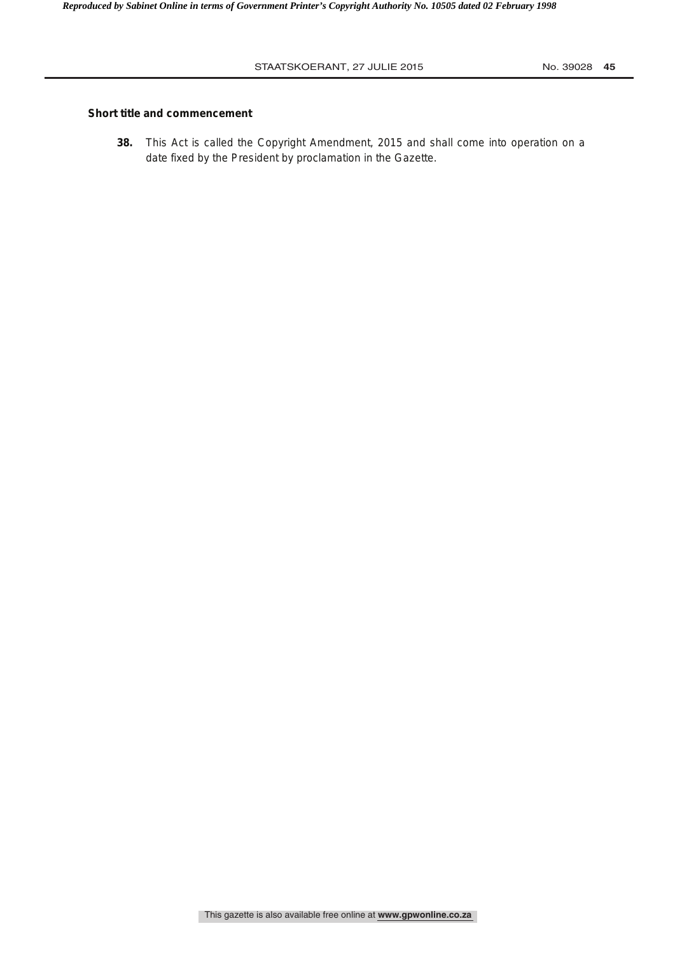# **Short title and commencement**

**38.** This Act is called the Copyright Amendment, 2015 and shall come into operation on a date fixed by the President by proclamation in the Gazette.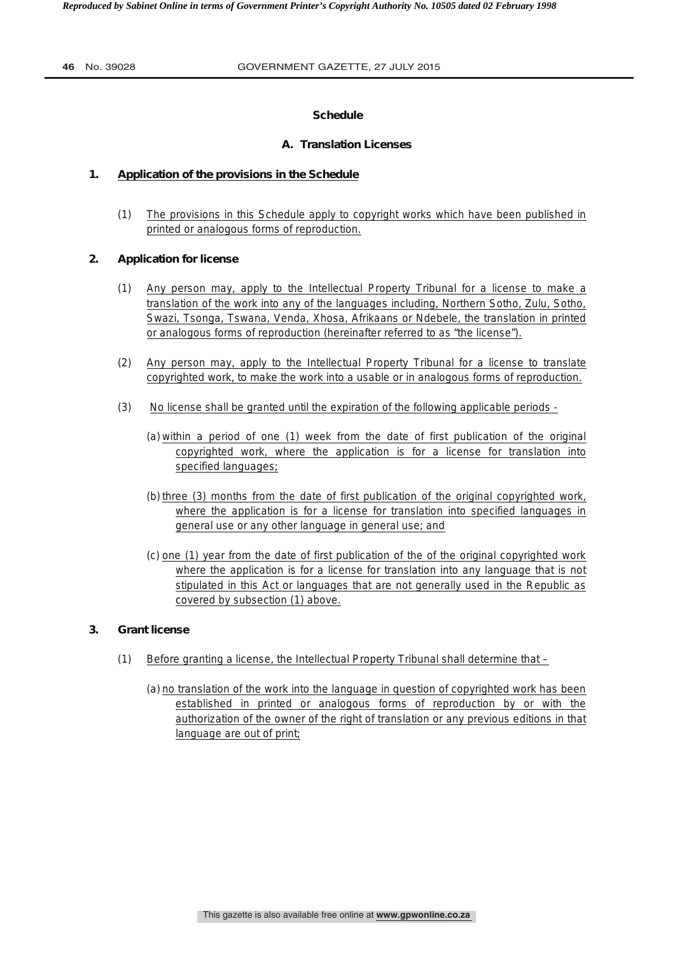# **Schedule**

# **A. Translation Licenses**

# **1. Application of the provisions in the Schedule**

(1) The provisions in this Schedule apply to copyright works which have been published in printed or analogous forms of reproduction.

# **2. Application for license**

- (1) Any person may, apply to the Intellectual Property Tribunal for a license to make a translation of the work into any of the languages including, Northern Sotho, Zulu, Sotho, Swazi, Tsonga, Tswana, Venda, Xhosa, Afrikaans or Ndebele, the translation in printed or analogous forms of reproduction (hereinafter referred to as "the license").
- (2) Any person may, apply to the Intellectual Property Tribunal for a license to translate copyrighted work, to make the work into a usable or in analogous forms of reproduction.
- (3) No license shall be granted until the expiration of the following applicable periods
	- (a) within a period of one (1) week from the date of first publication of the original copyrighted work, where the application is for a license for translation into specified languages;
	- (b) three (3) months from the date of first publication of the original copyrighted work, where the application is for a license for translation into specified languages in general use or any other language in general use; and
	- (c) one (1) year from the date of first publication of the of the original copyrighted work where the application is for a license for translation into any language that is not stipulated in this Act or languages that are not generally used in the Republic as covered by subsection (1) above.

# **3. Grant license**

- (1) Before granting a license, the Intellectual Property Tribunal shall determine that
	- (a) no translation of the work into the language in question of copyrighted work has been established in printed or analogous forms of reproduction by or with the authorization of the owner of the right of translation or any previous editions in that language are out of print;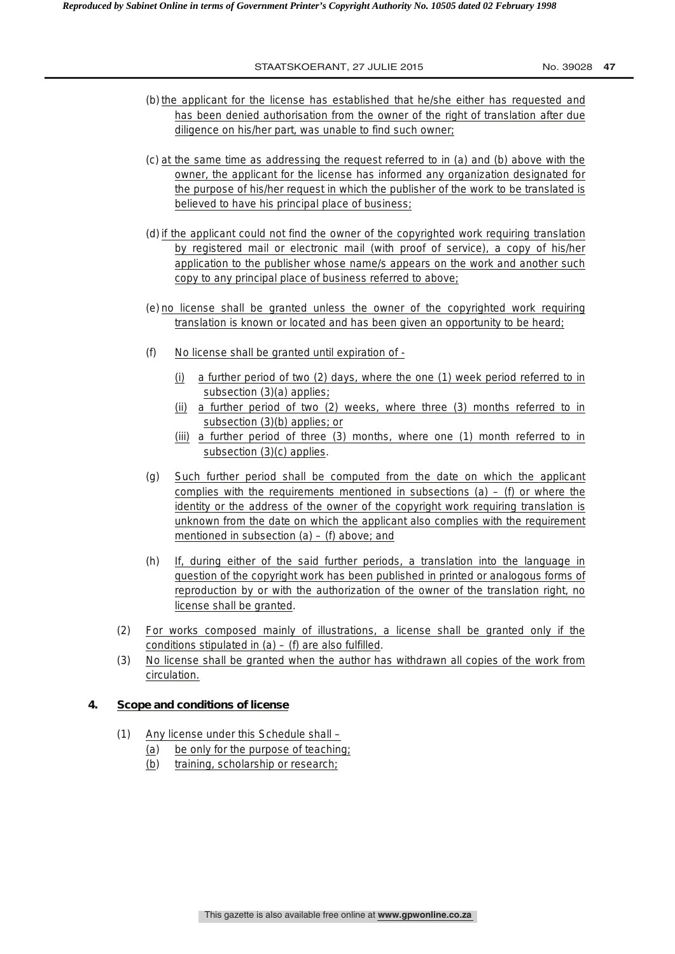- (b) the applicant for the license has established that he/she either has requested and has been denied authorisation from the owner of the right of translation after due diligence on his/her part, was unable to find such owner;
- (c) at the same time as addressing the request referred to in (a) and (b) above with the owner, the applicant for the license has informed any organization designated for the purpose of his/her request in which the publisher of the work to be translated is believed to have his principal place of business;
- (d) if the applicant could not find the owner of the copyrighted work requiring translation by registered mail or electronic mail (with proof of service), a copy of his/her application to the publisher whose name/s appears on the work and another such copy to any principal place of business referred to above;
- (e) no license shall be granted unless the owner of the copyrighted work requiring translation is known or located and has been given an opportunity to be heard;
- (f) No license shall be granted until expiration of
	- (i) a further period of two (2) days, where the one (1) week period referred to in subsection (3)(a) applies;
	- (ii) a further period of two (2) weeks, where three (3) months referred to in subsection (3)(b) applies; or
	- (iii) a further period of three (3) months, where one (1) month referred to in subsection (3)(c) applies.
- (g) Such further period shall be computed from the date on which the applicant complies with the requirements mentioned in subsections  $(a) - (f)$  or where the identity or the address of the owner of the copyright work requiring translation is unknown from the date on which the applicant also complies with the requirement mentioned in subsection  $(a) - (f)$  above; and
- (h) If, during either of the said further periods, a translation into the language in question of the copyright work has been published in printed or analogous forms of reproduction by or with the authorization of the owner of the translation right, no license shall be granted.
- (2) For works composed mainly of illustrations, a license shall be granted only if the conditions stipulated in  $(a) - (f)$  are also fulfilled.
- (3) No license shall be granted when the author has withdrawn all copies of the work from circulation.

# **4. Scope and conditions of license**

- (1) Any license under this Schedule shall
	- (a) be only for the purpose of teaching;
	- (b) training, scholarship or research;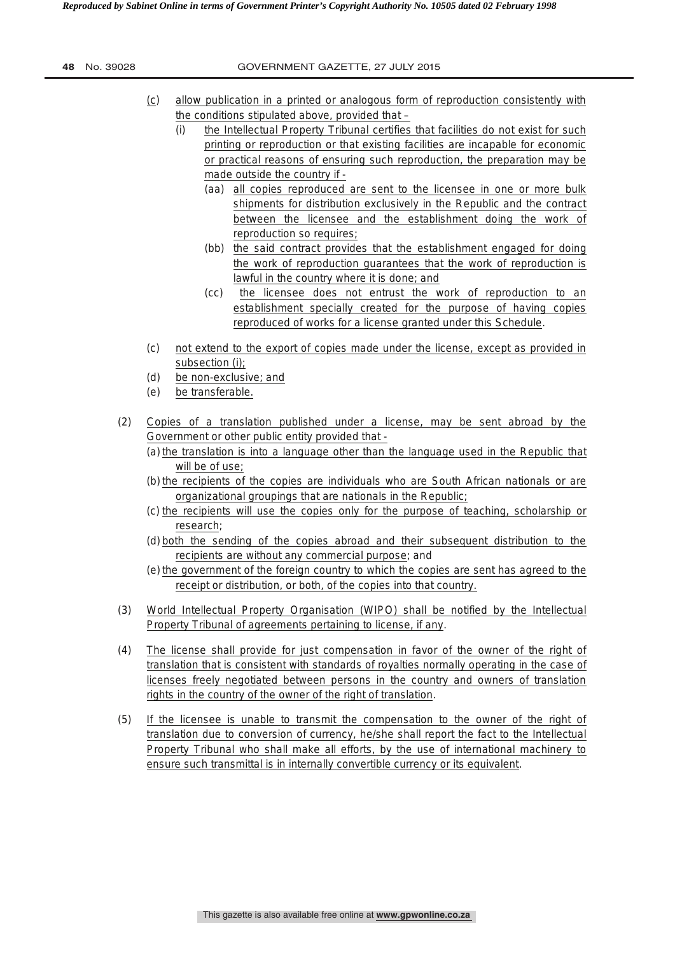| No. 39028<br>48 |  |
|-----------------|--|
|-----------------|--|

- (c) allow publication in a printed or analogous form of reproduction consistently with the conditions stipulated above, provided that –
	- (i) the Intellectual Property Tribunal certifies that facilities do not exist for such printing or reproduction or that existing facilities are incapable for economic or practical reasons of ensuring such reproduction, the preparation may be made outside the country if -
		- (aa) all copies reproduced are sent to the licensee in one or more bulk shipments for distribution exclusively in the Republic and the contract between the licensee and the establishment doing the work of reproduction so requires;
		- (bb) the said contract provides that the establishment engaged for doing the work of reproduction guarantees that the work of reproduction is lawful in the country where it is done; and
		- (cc) the licensee does not entrust the work of reproduction to an establishment specially created for the purpose of having copies reproduced of works for a license granted under this Schedule.
- (c) not extend to the export of copies made under the license, except as provided in subsection (i);
- (d) be non-exclusive; and
- (e) be transferable.
- (2) Copies of a translation published under a license, may be sent abroad by the Government or other public entity provided that -
	- (a) the translation is into a language other than the language used in the Republic that will be of use;
	- (b) the recipients of the copies are individuals who are South African nationals or are organizational groupings that are nationals in the Republic;
	- (c) the recipients will use the copies only for the purpose of teaching, scholarship or research;
	- (d) both the sending of the copies abroad and their subsequent distribution to the recipients are without any commercial purpose; and
	- (e) the government of the foreign country to which the copies are sent has agreed to the receipt or distribution, or both, of the copies into that country.
- (3) World Intellectual Property Organisation (WIPO) shall be notified by the Intellectual Property Tribunal of agreements pertaining to license, if any.
- (4) The license shall provide for just compensation in favor of the owner of the right of translation that is consistent with standards of royalties normally operating in the case of licenses freely negotiated between persons in the country and owners of translation rights in the country of the owner of the right of translation.
- (5) If the licensee is unable to transmit the compensation to the owner of the right of translation due to conversion of currency, he/she shall report the fact to the Intellectual Property Tribunal who shall make all efforts, by the use of international machinery to ensure such transmittal is in internally convertible currency or its equivalent.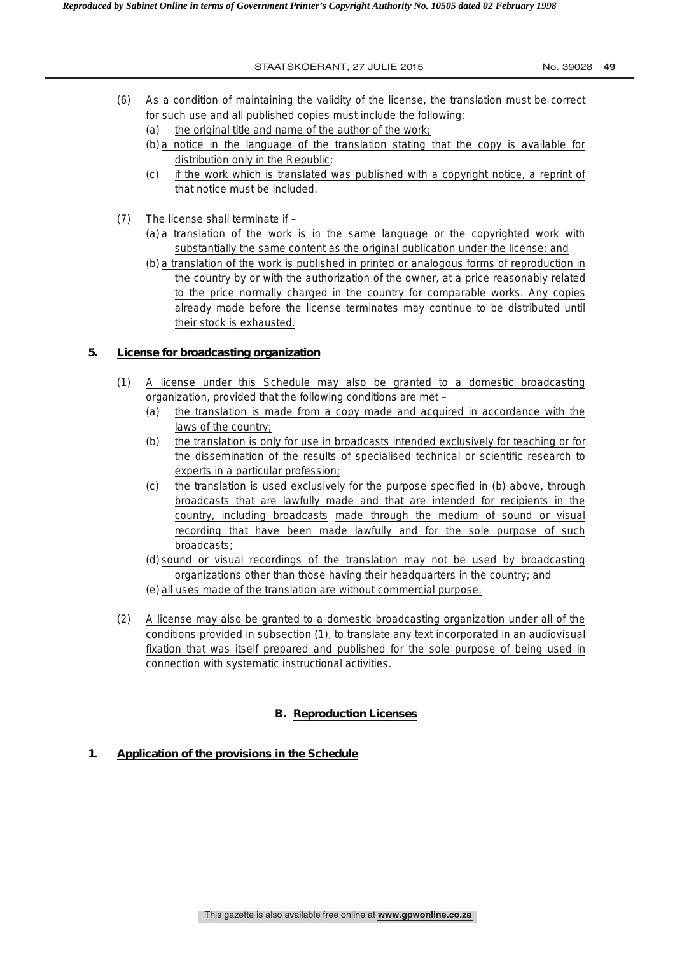- (6) As a condition of maintaining the validity of the license, the translation must be correct for such use and all published copies must include the following:
	- (a) the original title and name of the author of the work;
	- (b) a notice in the language of the translation stating that the copy is available for distribution only in the Republic;
	- (c) if the work which is translated was published with a copyright notice, a reprint of that notice must be included.
- (7) The license shall terminate if
	- (a) a translation of the work is in the same language or the copyrighted work with substantially the same content as the original publication under the license; and
	- (b) a translation of the work is published in printed or analogous forms of reproduction in the country by or with the authorization of the owner, at a price reasonably related to the price normally charged in the country for comparable works. Any copies already made before the license terminates may continue to be distributed until their stock is exhausted.

# **5. License for broadcasting organization**

- (1) A license under this Schedule may also be granted to a domestic broadcasting organization, provided that the following conditions are met –
	- (a) the translation is made from a copy made and acquired in accordance with the laws of the country;
	- (b) the translation is only for use in broadcasts intended exclusively for teaching or for the dissemination of the results of specialised technical or scientific research to experts in a particular profession;
	- (c) the translation is used exclusively for the purpose specified in (b) above, through broadcasts that are lawfully made and that are intended for recipients in the country, including broadcasts made through the medium of sound or visual recording that have been made lawfully and for the sole purpose of such broadcasts;
	- (d) sound or visual recordings of the translation may not be used by broadcasting organizations other than those having their headquarters in the country; and
	- (e) all uses made of the translation are without commercial purpose.
- (2) A license may also be granted to a domestic broadcasting organization under all of the conditions provided in subsection (1), to translate any text incorporated in an audiovisual fixation that was itself prepared and published for the sole purpose of being used in connection with systematic instructional activities.

# **B. Reproduction Licenses**

# **1. Application of the provisions in the Schedule**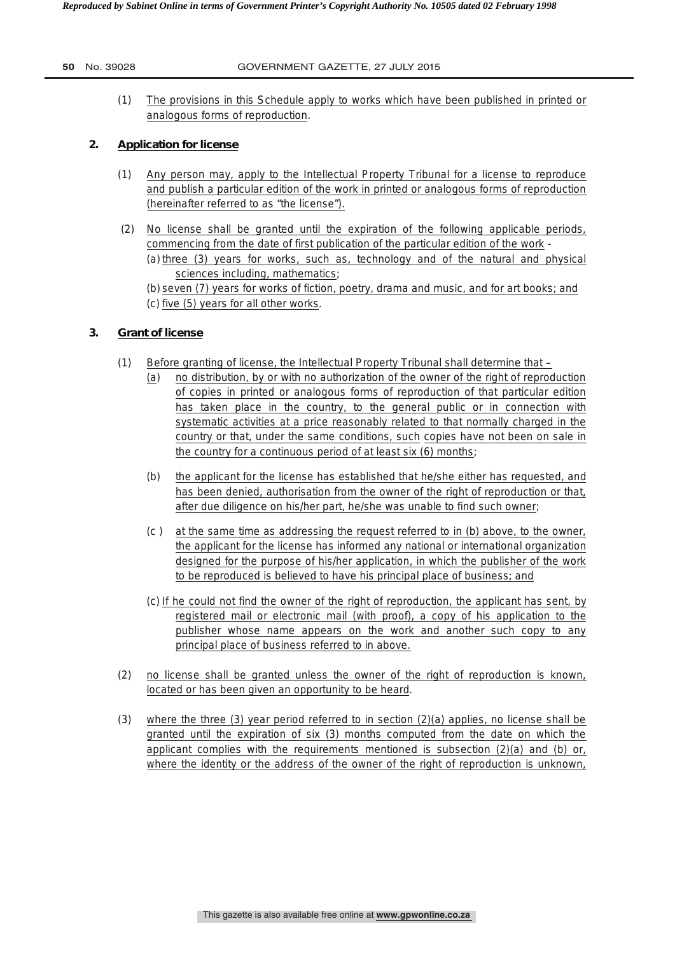## **50** No. 39028 GOVERNMENT GAZETTE, 27 JULY 2015

(1) The provisions in this Schedule apply to works which have been published in printed or analogous forms of reproduction.

# **2. Application for license**

- (1) Any person may, apply to the Intellectual Property Tribunal for a license to reproduce and publish a particular edition of the work in printed or analogous forms of reproduction (hereinafter referred to as "the license").
- (2) No license shall be granted until the expiration of the following applicable periods, commencing from the date of first publication of the particular edition of the work - (a) three (3) years for works, such as, technology and of the natural and physical sciences including, mathematics;
	- (b) seven (7) years for works of fiction, poetry, drama and music, and for art books; and (c) five (5) years for all other works.

# **3. Grant of license**

- (1) Before granting of license, the Intellectual Property Tribunal shall determine that
	- (a) no distribution, by or with no authorization of the owner of the right of reproduction of copies in printed or analogous forms of reproduction of that particular edition has taken place in the country, to the general public or in connection with systematic activities at a price reasonably related to that normally charged in the country or that, under the same conditions, such copies have not been on sale in the country for a continuous period of at least six (6) months;
	- (b) the applicant for the license has established that he/she either has requested, and has been denied, authorisation from the owner of the right of reproduction or that, after due diligence on his/her part, he/she was unable to find such owner;
	- (c ) at the same time as addressing the request referred to in (b) above, to the owner, the applicant for the license has informed any national or international organization designed for the purpose of his/her application, in which the publisher of the work to be reproduced is believed to have his principal place of business; and
	- (c) If he could not find the owner of the right of reproduction, the applicant has sent, by registered mail or electronic mail (with proof), a copy of his application to the publisher whose name appears on the work and another such copy to any principal place of business referred to in above.
- (2) no license shall be granted unless the owner of the right of reproduction is known, located or has been given an opportunity to be heard.
- (3) where the three (3) year period referred to in section  $(2)(a)$  applies, no license shall be granted until the expiration of six (3) months computed from the date on which the applicant complies with the requirements mentioned is subsection  $(2)(a)$  and  $(b)$  or, where the identity or the address of the owner of the right of reproduction is unknown,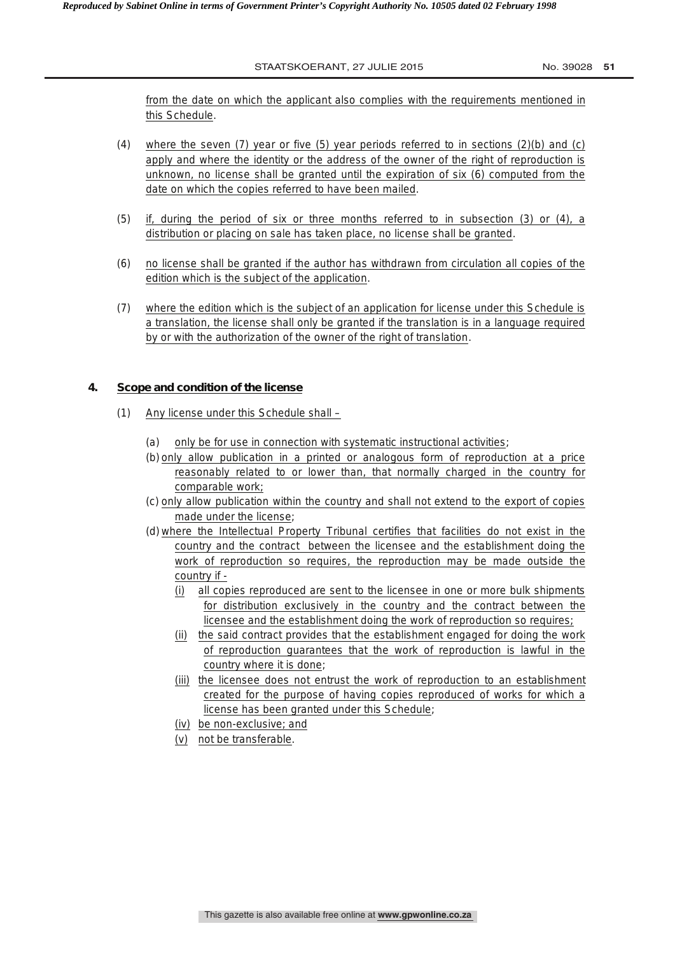from the date on which the applicant also complies with the requirements mentioned in this Schedule.

- (4) where the seven (7) year or five (5) year periods referred to in sections (2)(b) and (c) apply and where the identity or the address of the owner of the right of reproduction is unknown, no license shall be granted until the expiration of six (6) computed from the date on which the copies referred to have been mailed.
- (5) if, during the period of six or three months referred to in subsection (3) or (4), a distribution or placing on sale has taken place, no license shall be granted.
- (6) no license shall be granted if the author has withdrawn from circulation all copies of the edition which is the subject of the application.
- (7) where the edition which is the subject of an application for license under this Schedule is a translation, the license shall only be granted if the translation is in a language required by or with the authorization of the owner of the right of translation.

# **4. Scope and condition of the license**

- (1) Any license under this Schedule shall
	- (a) only be for use in connection with systematic instructional activities;
	- (b) only allow publication in a printed or analogous form of reproduction at a price reasonably related to or lower than, that normally charged in the country for comparable work;
	- (c) only allow publication within the country and shall not extend to the export of copies made under the license;
	- (d) where the Intellectual Property Tribunal certifies that facilities do not exist in the country and the contract between the licensee and the establishment doing the work of reproduction so requires, the reproduction may be made outside the country if -
		- (i) all copies reproduced are sent to the licensee in one or more bulk shipments for distribution exclusively in the country and the contract between the licensee and the establishment doing the work of reproduction so requires;
		- (ii) the said contract provides that the establishment engaged for doing the work of reproduction guarantees that the work of reproduction is lawful in the country where it is done;
		- (iii) the licensee does not entrust the work of reproduction to an establishment created for the purpose of having copies reproduced of works for which a license has been granted under this Schedule;
		- (iv) be non-exclusive; and
		- (v) not be transferable.